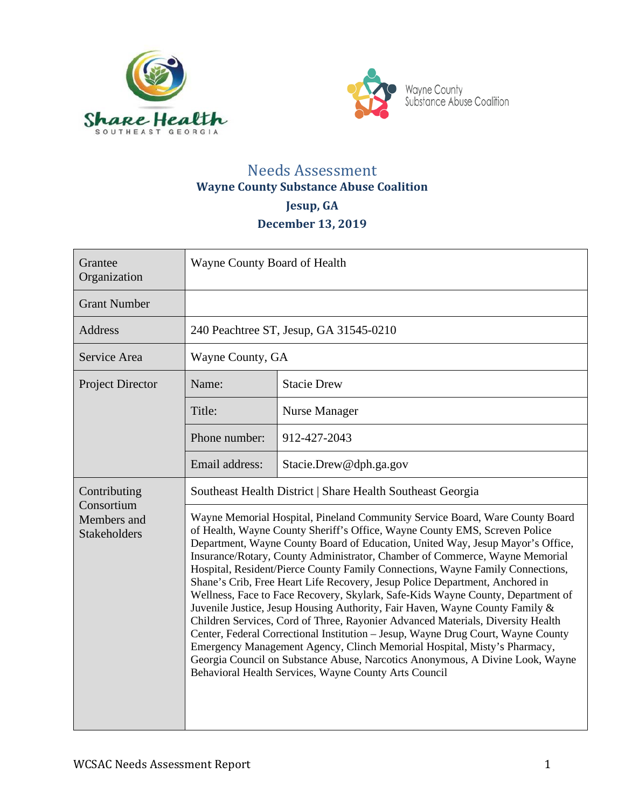



# Needs Assessment **Wayne County Substance Abuse Coalition Jesup, GA December 13, 2019**

| Grantee<br>Organization                          | Wayne County Board of Health                                                                                                                                                                                                                                                                                                                                                                                                                                                                                                                                                                                                                                                                                                                                                                                                                                                                                                                                                                                                                                                                                                |                                        |
|--------------------------------------------------|-----------------------------------------------------------------------------------------------------------------------------------------------------------------------------------------------------------------------------------------------------------------------------------------------------------------------------------------------------------------------------------------------------------------------------------------------------------------------------------------------------------------------------------------------------------------------------------------------------------------------------------------------------------------------------------------------------------------------------------------------------------------------------------------------------------------------------------------------------------------------------------------------------------------------------------------------------------------------------------------------------------------------------------------------------------------------------------------------------------------------------|----------------------------------------|
| <b>Grant Number</b>                              |                                                                                                                                                                                                                                                                                                                                                                                                                                                                                                                                                                                                                                                                                                                                                                                                                                                                                                                                                                                                                                                                                                                             |                                        |
| <b>Address</b>                                   |                                                                                                                                                                                                                                                                                                                                                                                                                                                                                                                                                                                                                                                                                                                                                                                                                                                                                                                                                                                                                                                                                                                             | 240 Peachtree ST, Jesup, GA 31545-0210 |
| Service Area                                     | Wayne County, GA                                                                                                                                                                                                                                                                                                                                                                                                                                                                                                                                                                                                                                                                                                                                                                                                                                                                                                                                                                                                                                                                                                            |                                        |
| <b>Project Director</b>                          | Name:                                                                                                                                                                                                                                                                                                                                                                                                                                                                                                                                                                                                                                                                                                                                                                                                                                                                                                                                                                                                                                                                                                                       | <b>Stacie Drew</b>                     |
|                                                  | Title:                                                                                                                                                                                                                                                                                                                                                                                                                                                                                                                                                                                                                                                                                                                                                                                                                                                                                                                                                                                                                                                                                                                      | Nurse Manager                          |
|                                                  | Phone number:                                                                                                                                                                                                                                                                                                                                                                                                                                                                                                                                                                                                                                                                                                                                                                                                                                                                                                                                                                                                                                                                                                               | 912-427-2043                           |
|                                                  | Email address:                                                                                                                                                                                                                                                                                                                                                                                                                                                                                                                                                                                                                                                                                                                                                                                                                                                                                                                                                                                                                                                                                                              | Stacie.Drew@dph.ga.gov                 |
| Contributing                                     |                                                                                                                                                                                                                                                                                                                                                                                                                                                                                                                                                                                                                                                                                                                                                                                                                                                                                                                                                                                                                                                                                                                             |                                        |
| Consortium<br>Members and<br><b>Stakeholders</b> | Southeast Health District   Share Health Southeast Georgia<br>Wayne Memorial Hospital, Pineland Community Service Board, Ware County Board<br>of Health, Wayne County Sheriff's Office, Wayne County EMS, Screven Police<br>Department, Wayne County Board of Education, United Way, Jesup Mayor's Office,<br>Insurance/Rotary, County Administrator, Chamber of Commerce, Wayne Memorial<br>Hospital, Resident/Pierce County Family Connections, Wayne Family Connections,<br>Shane's Crib, Free Heart Life Recovery, Jesup Police Department, Anchored in<br>Wellness, Face to Face Recovery, Skylark, Safe-Kids Wayne County, Department of<br>Juvenile Justice, Jesup Housing Authority, Fair Haven, Wayne County Family &<br>Children Services, Cord of Three, Rayonier Advanced Materials, Diversity Health<br>Center, Federal Correctional Institution - Jesup, Wayne Drug Court, Wayne County<br>Emergency Management Agency, Clinch Memorial Hospital, Misty's Pharmacy,<br>Georgia Council on Substance Abuse, Narcotics Anonymous, A Divine Look, Wayne<br>Behavioral Health Services, Wayne County Arts Council |                                        |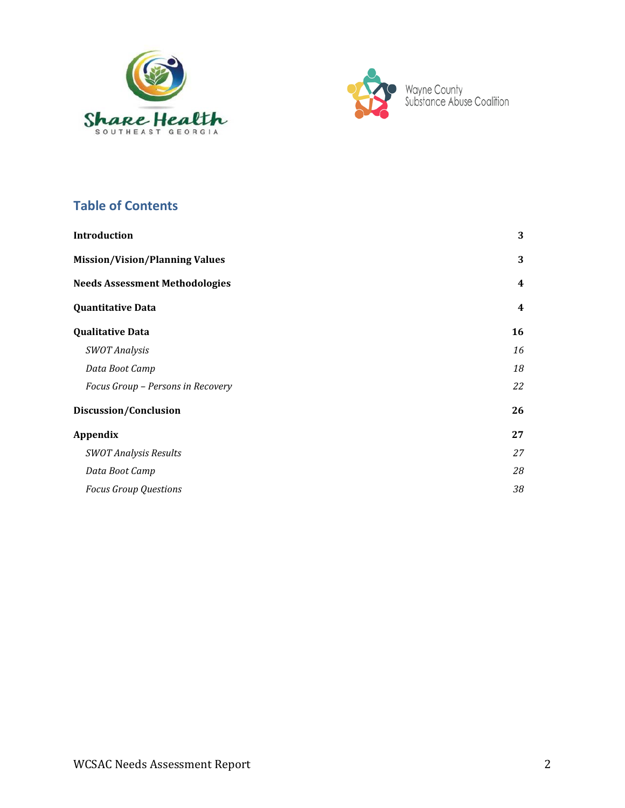



# **Table of Contents**

| <b>Introduction</b>                   | 3              |
|---------------------------------------|----------------|
| <b>Mission/Vision/Planning Values</b> | 3              |
| <b>Needs Assessment Methodologies</b> | 4              |
| Quantitative Data                     | $\overline{4}$ |
| <b>Qualitative Data</b>               | 16             |
| <b>SWOT Analysis</b>                  | 16             |
| Data Boot Camp                        | 18             |
| Focus Group - Persons in Recovery     | 22             |
| Discussion/Conclusion                 | 26             |
| Appendix                              | 27             |
| <b>SWOT Analysis Results</b>          | 27             |
| Data Boot Camp                        | 28             |
| <b>Focus Group Questions</b>          | 38             |
|                                       |                |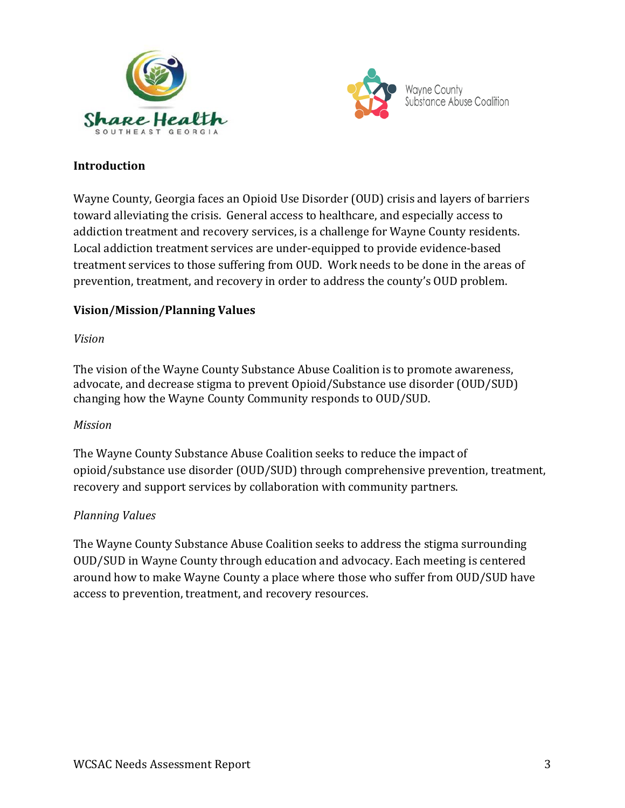



# **Introduction**

Wayne County, Georgia faces an Opioid Use Disorder (OUD) crisis and layers of barriers toward alleviating the crisis. General access to healthcare, and especially access to addiction treatment and recovery services, is a challenge for Wayne County residents. Local addiction treatment services are under-equipped to provide evidence-based treatment services to those suffering from OUD. Work needs to be done in the areas of prevention, treatment, and recovery in order to address the county's OUD problem.

### **Vision/Mission/Planning Values**

### *Vision*

The vision of the Wayne County Substance Abuse Coalition is to promote awareness, advocate, and decrease stigma to prevent Opioid/Substance use disorder (OUD/SUD) changing how the Wayne County Community responds to OUD/SUD.

### *Mission*

The Wayne County Substance Abuse Coalition seeks to reduce the impact of opioid/substance use disorder (OUD/SUD) through comprehensive prevention, treatment, recovery and support services by collaboration with community partners.

### *Planning Values*

The Wayne County Substance Abuse Coalition seeks to address the stigma surrounding OUD/SUD in Wayne County through education and advocacy. Each meeting is centered around how to make Wayne County a place where those who suffer from OUD/SUD have access to prevention, treatment, and recovery resources.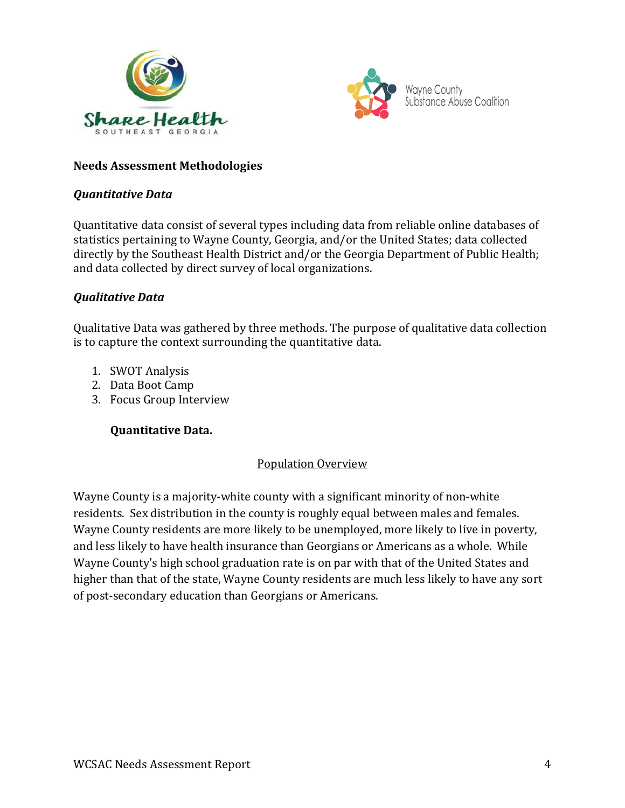



### **Needs Assessment Methodologies**

#### *Quantitative Data*

Quantitative data consist of several types including data from reliable online databases of statistics pertaining to Wayne County, Georgia, and/or the United States; data collected directly by the Southeast Health District and/or the Georgia Department of Public Health; and data collected by direct survey of local organizations.

### *Qualitative Data*

Qualitative Data was gathered by three methods. The purpose of qualitative data collection is to capture the context surrounding the quantitative data.

- 1. SWOT Analysis
- 2. Data Boot Camp
- 3. Focus Group Interview

### **Quantitative Data.**

### Population Overview

Wayne County is a majority-white county with a significant minority of non-white residents. Sex distribution in the county is roughly equal between males and females. Wayne County residents are more likely to be unemployed, more likely to live in poverty, and less likely to have health insurance than Georgians or Americans as a whole. While Wayne County's high school graduation rate is on par with that of the United States and higher than that of the state, Wayne County residents are much less likely to have any sort of post-secondary education than Georgians or Americans.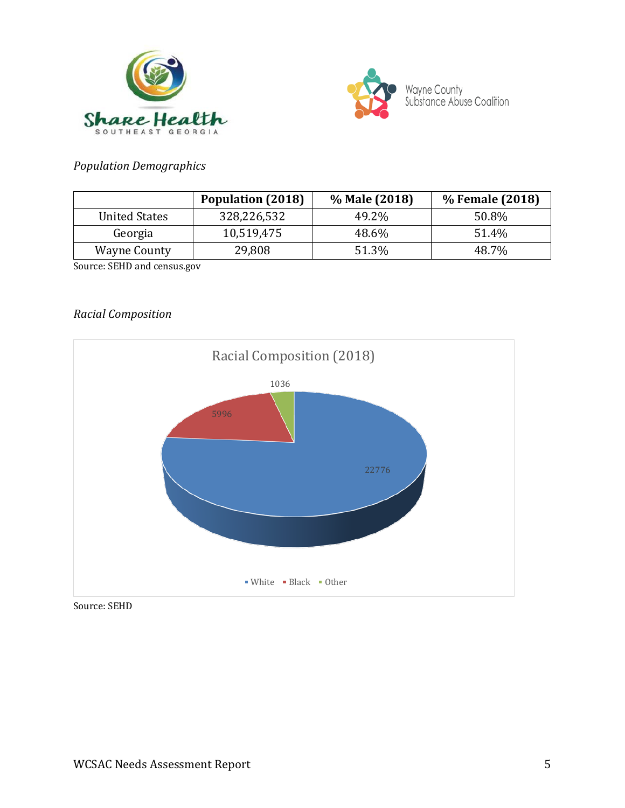



# *Population Demographics*

|                      | <b>Population (2018)</b> | % Male (2018) | % Female (2018) |
|----------------------|--------------------------|---------------|-----------------|
| <b>United States</b> | 328,226,532              | 49.2%         | 50.8%           |
| Georgia              | 10,519,475               | 48.6%         | 51.4%           |
| <b>Wayne County</b>  | 29,808                   | 51.3%         | 48.7%           |

Source: SEHD and census.gov

### *Racial Composition*



Source: SEHD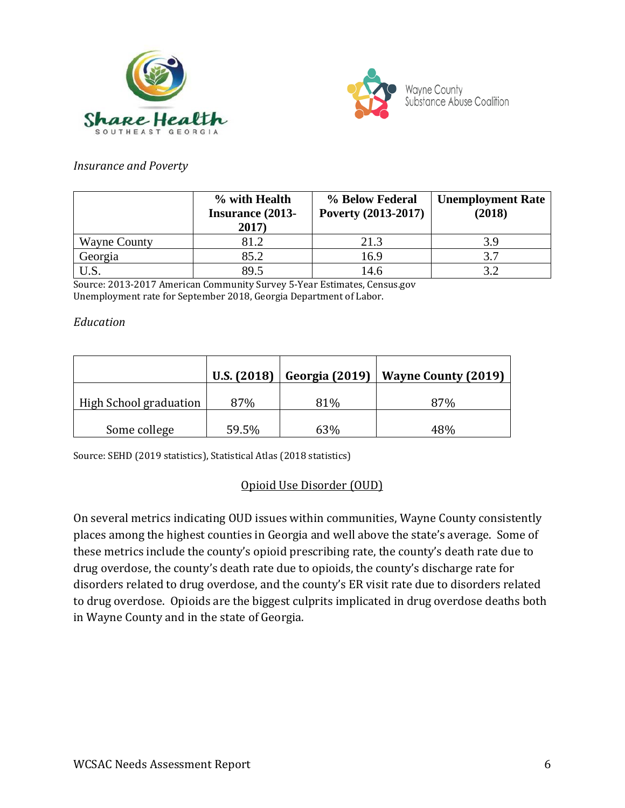



#### *Insurance and Poverty*

|                     | % with Health<br><b>Insurance (2013-</b><br>2017) | % Below Federal<br>Poverty (2013-2017) | <b>Unemployment Rate</b><br>(2018) |
|---------------------|---------------------------------------------------|----------------------------------------|------------------------------------|
| <b>Wayne County</b> | 81.2                                              | 21.3                                   |                                    |
| Georgia             | 85.2                                              | 16.9                                   |                                    |
|                     | 89.5                                              | 14.6                                   |                                    |

Source: 2013-2017 American Community Survey 5-Year Estimates, Census.gov Unemployment rate for September 2018, Georgia Department of Labor.

#### *Education*

|                        | U.S. (2018) | Georgia (2019) | <b>Wayne County (2019)</b> |
|------------------------|-------------|----------------|----------------------------|
| High School graduation | 87%         | 81%            | 87%                        |
| Some college           | 59.5%       | 63%            | 48%                        |

Source: SEHD (2019 statistics), Statistical Atlas (2018 statistics)

# Opioid Use Disorder (OUD)

On several metrics indicating OUD issues within communities, Wayne County consistently places among the highest counties in Georgia and well above the state's average. Some of these metrics include the county's opioid prescribing rate, the county's death rate due to drug overdose, the county's death rate due to opioids, the county's discharge rate for disorders related to drug overdose, and the county's ER visit rate due to disorders related to drug overdose. Opioids are the biggest culprits implicated in drug overdose deaths both in Wayne County and in the state of Georgia.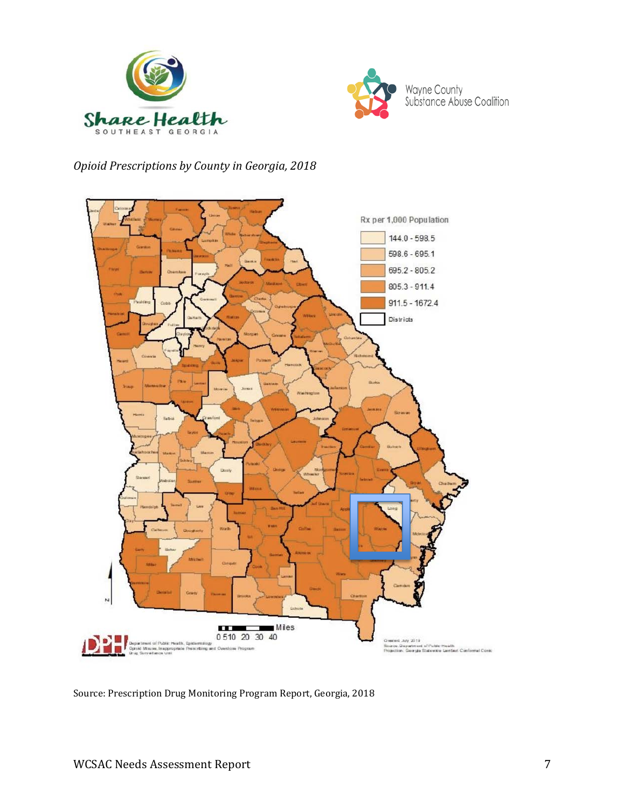



# *Opioid Prescriptions by County in Georgia, 2018*



Source: Prescription Drug Monitoring Program Report, Georgia, 2018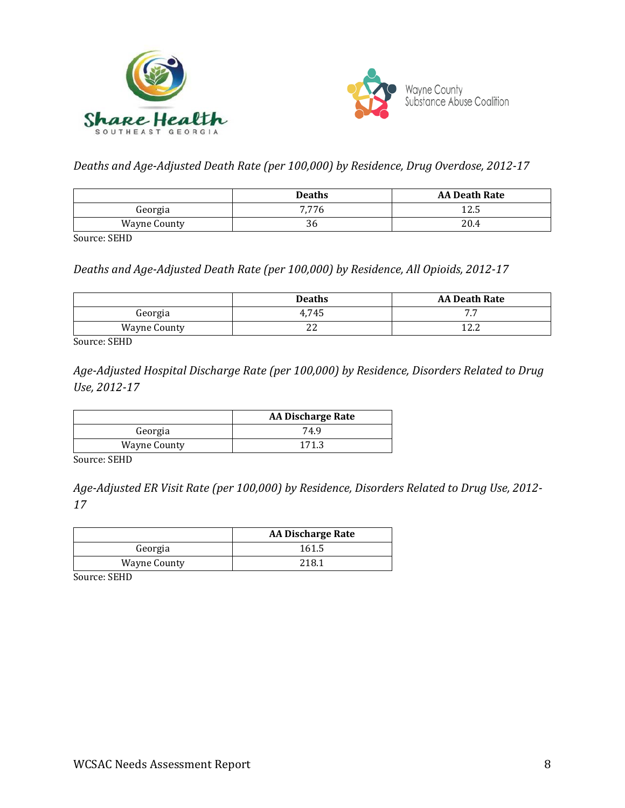



*Deaths and Age-Adjusted Death Rate (per 100,000) by Residence, Drug Overdose, 2012-17*

|                     | <b>Deaths</b> | <b>AA Death Rate</b> |
|---------------------|---------------|----------------------|
| Georgia             | 7,776         | 12.5                 |
| <b>Wayne County</b> | 36            | 20.4                 |

Source: SEHD

*Deaths and Age-Adjusted Death Rate (per 100,000) by Residence, All Opioids, 2012-17*

|                     | <b>Deaths</b> | <b>AA Death Rate</b> |
|---------------------|---------------|----------------------|
| Georgia             | 4,745         | --<br>, , ,          |
| <b>Wayne County</b> | ▵             | 1 ງາ<br>14.Z         |

Source: SEHD

*Age-Adjusted Hospital Discharge Rate (per 100,000) by Residence, Disorders Related to Drug Use, 2012-17*

|                     | <b>AA Discharge Rate</b> |
|---------------------|--------------------------|
| Georgia             | 74.9                     |
| <b>Wayne County</b> | 171.3                    |

Source: SEHD

*Age-Adjusted ER Visit Rate (per 100,000) by Residence, Disorders Related to Drug Use, 2012- 17*

|                     | <b>AA Discharge Rate</b> |
|---------------------|--------------------------|
| Georgia             | 161.5                    |
| <b>Wayne County</b> | 218.1                    |

Source: SEHD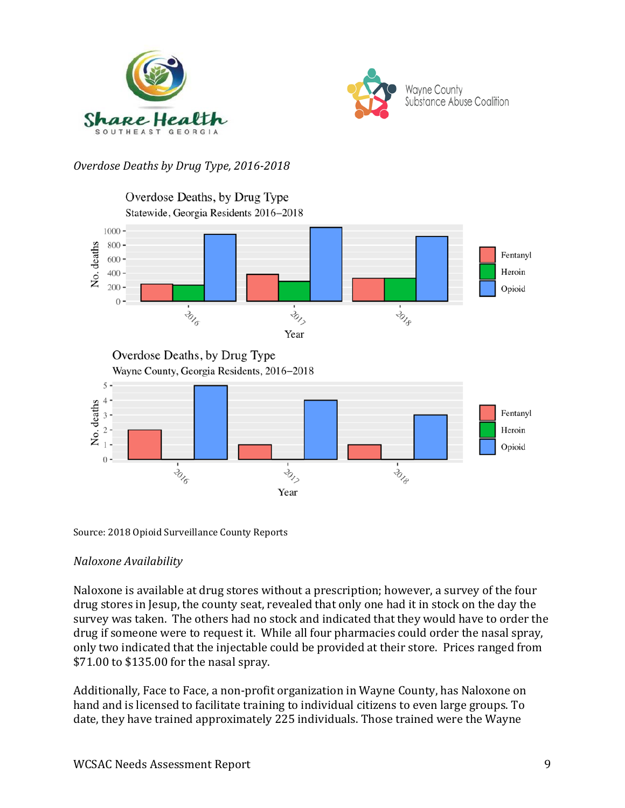



# *Overdose Deaths by Drug Type, 2016-2018*



Source: 2018 Opioid Surveillance County Reports

### *Naloxone Availability*

Naloxone is available at drug stores without a prescription; however, a survey of the four drug stores in Jesup, the county seat, revealed that only one had it in stock on the day the survey was taken. The others had no stock and indicated that they would have to order the drug if someone were to request it. While all four pharmacies could order the nasal spray, only two indicated that the injectable could be provided at their store. Prices ranged from \$71.00 to \$135.00 for the nasal spray.

Additionally, Face to Face, a non-profit organization in Wayne County, has Naloxone on hand and is licensed to facilitate training to individual citizens to even large groups. To date, they have trained approximately 225 individuals. Those trained were the Wayne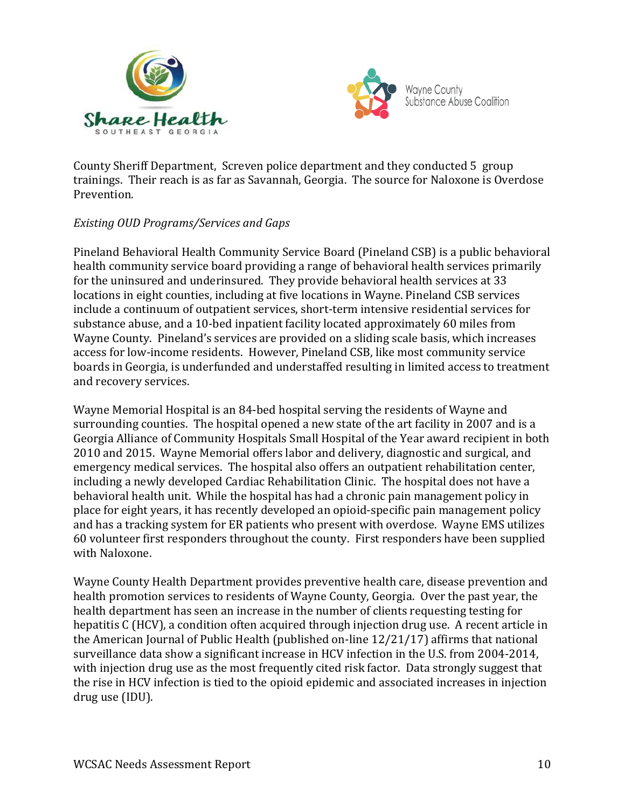



County Sheriff Department, Screven police department and they conducted 5 group trainings. Their reach is as far as Savannah, Georgia. The source for Naloxone is Overdose Prevention.

### *Existing OUD Programs/Services and Gaps*

Pineland Behavioral Health Community Service Board (Pineland CSB) is a public behavioral health community service board providing a range of behavioral health services primarily for the uninsured and underinsured. They provide behavioral health services at 33 locations in eight counties, including at five locations in Wayne. Pineland CSB services include a continuum of outpatient services, short-term intensive residential services for substance abuse, and a 10-bed inpatient facility located approximately 60 miles from Wayne County. Pineland's services are provided on a sliding scale basis, which increases access for low-income residents. However, Pineland CSB, like most community service boards in Georgia, is underfunded and understaffed resulting in limited access to treatment and recovery services.

Wayne Memorial Hospital is an 84-bed hospital serving the residents of Wayne and surrounding counties. The hospital opened a new state of the art facility in 2007 and is a Georgia Alliance of Community Hospitals Small Hospital of the Year award recipient in both 2010 and 2015. Wayne Memorial offers labor and delivery, diagnostic and surgical, and emergency medical services. The hospital also offers an outpatient rehabilitation center, including a newly developed Cardiac Rehabilitation Clinic. The hospital does not have a behavioral health unit. While the hospital has had a chronic pain management policy in place for eight years, it has recently developed an opioid-specific pain management policy and has a tracking system for ER patients who present with overdose. Wayne EMS utilizes 60 volunteer first responders throughout the county. First responders have been supplied with Naloxone.

Wayne County Health Department provides preventive health care, disease prevention and health promotion services to residents of Wayne County, Georgia. Over the past year, the health department has seen an increase in the number of clients requesting testing for hepatitis C (HCV), a condition often acquired through injection drug use. A recent article in the American Journal of Public Health (published on-line 12/21/17) affirms that national surveillance data show a significant increase in HCV infection in the U.S. from 2004-2014, with injection drug use as the most frequently cited risk factor. Data strongly suggest that the rise in HCV infection is tied to the opioid epidemic and associated increases in injection drug use (IDU).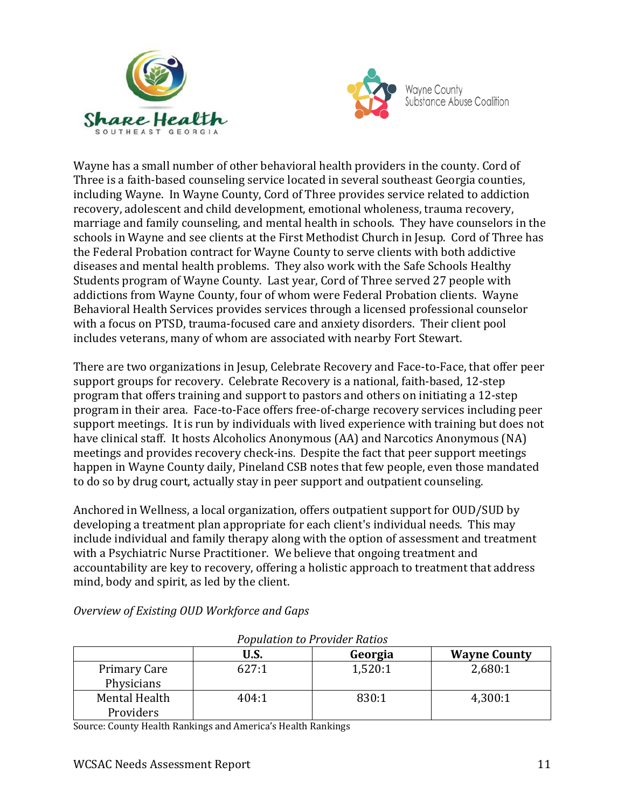



Wayne has a small number of other behavioral health providers in the county. Cord of Three is a faith-based counseling service located in several southeast Georgia counties, including Wayne. In Wayne County, Cord of Three provides service related to addiction recovery, adolescent and child development, emotional wholeness, trauma recovery, marriage and family counseling, and mental health in schools. They have counselors in the schools in Wayne and see clients at the First Methodist Church in Jesup. Cord of Three has the Federal Probation contract for Wayne County to serve clients with both addictive diseases and mental health problems. They also work with the Safe Schools Healthy Students program of Wayne County. Last year, Cord of Three served 27 people with addictions from Wayne County, four of whom were Federal Probation clients. Wayne Behavioral Health Services provides services through a licensed professional counselor with a focus on PTSD, trauma-focused care and anxiety disorders. Their client pool includes veterans, many of whom are associated with nearby Fort Stewart.

There are two organizations in Jesup, Celebrate Recovery and Face-to-Face, that offer peer support groups for recovery. Celebrate Recovery is a national, faith-based, 12-step program that offers training and support to pastors and others on initiating a 12-step program in their area. Face-to-Face offers free-of-charge recovery services including peer support meetings. It is run by individuals with lived experience with training but does not have clinical staff. It hosts Alcoholics Anonymous (AA) and Narcotics Anonymous (NA) meetings and provides recovery check-ins. Despite the fact that peer support meetings happen in Wayne County daily, Pineland CSB notes that few people, even those mandated to do so by drug court, actually stay in peer support and outpatient counseling.

Anchored in Wellness, a local organization, offers outpatient support for OUD/SUD by developing a treatment plan appropriate for each client's individual needs. This may include individual and family therapy along with the option of assessment and treatment with a Psychiatric Nurse Practitioner. We believe that ongoing treatment and accountability are key to recovery, offering a holistic approach to treatment that address mind, body and spirit, as led by the client.

| <b>Population to Provider Ratios</b> |       |         |                     |
|--------------------------------------|-------|---------|---------------------|
|                                      | U.S.  | Georgia | <b>Wayne County</b> |
| Primary Care<br>Physicians           | 627:1 | 1,520:1 | 2,680:1             |
| Mental Health<br>Providers           | 404:1 | 830:1   | 4,300:1             |

*Overview of Existing OUD Workforce and Gaps*

Source: County Health Rankings and America's Health Rankings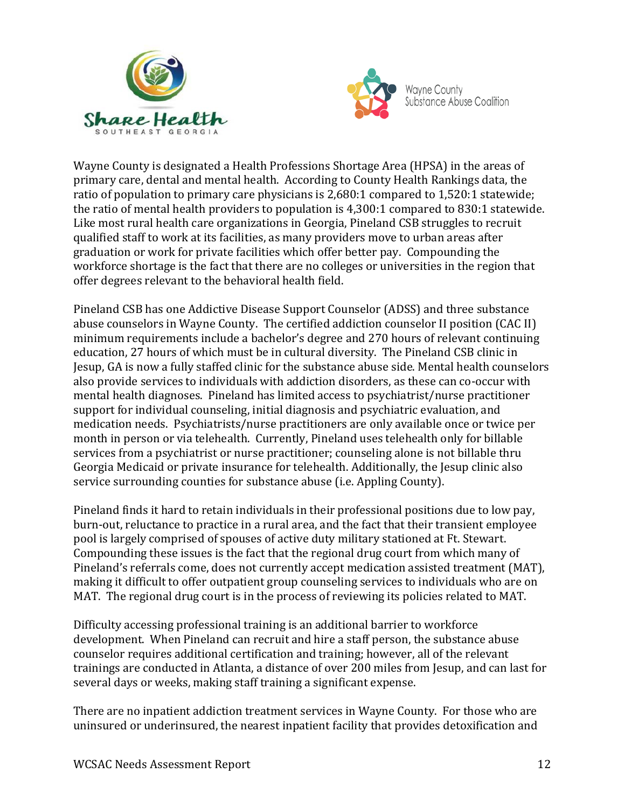



Wayne County is designated a Health Professions Shortage Area (HPSA) in the areas of primary care, dental and mental health. According to County Health Rankings data, the ratio of population to primary care physicians is 2,680:1 compared to 1,520:1 statewide; the ratio of mental health providers to population is 4,300:1 compared to 830:1 statewide. Like most rural health care organizations in Georgia, Pineland CSB struggles to recruit qualified staff to work at its facilities, as many providers move to urban areas after graduation or work for private facilities which offer better pay. Compounding the workforce shortage is the fact that there are no colleges or universities in the region that offer degrees relevant to the behavioral health field.

Pineland CSB has one Addictive Disease Support Counselor (ADSS) and three substance abuse counselors in Wayne County. The certified addiction counselor II position (CAC II) minimum requirements include a bachelor's degree and 270 hours of relevant continuing education, 27 hours of which must be in cultural diversity. The Pineland CSB clinic in Jesup, GA is now a fully staffed clinic for the substance abuse side. Mental health counselors also provide services to individuals with addiction disorders, as these can co-occur with mental health diagnoses. Pineland has limited access to psychiatrist/nurse practitioner support for individual counseling, initial diagnosis and psychiatric evaluation, and medication needs. Psychiatrists/nurse practitioners are only available once or twice per month in person or via telehealth. Currently, Pineland uses telehealth only for billable services from a psychiatrist or nurse practitioner; counseling alone is not billable thru Georgia Medicaid or private insurance for telehealth. Additionally, the Jesup clinic also service surrounding counties for substance abuse (i.e. Appling County).

Pineland finds it hard to retain individuals in their professional positions due to low pay, burn-out, reluctance to practice in a rural area, and the fact that their transient employee pool is largely comprised of spouses of active duty military stationed at Ft. Stewart. Compounding these issues is the fact that the regional drug court from which many of Pineland's referrals come, does not currently accept medication assisted treatment (MAT), making it difficult to offer outpatient group counseling services to individuals who are on MAT. The regional drug court is in the process of reviewing its policies related to MAT.

Difficulty accessing professional training is an additional barrier to workforce development. When Pineland can recruit and hire a staff person, the substance abuse counselor requires additional certification and training; however, all of the relevant trainings are conducted in Atlanta, a distance of over 200 miles from Jesup, and can last for several days or weeks, making staff training a significant expense.

There are no inpatient addiction treatment services in Wayne County. For those who are uninsured or underinsured, the nearest inpatient facility that provides detoxification and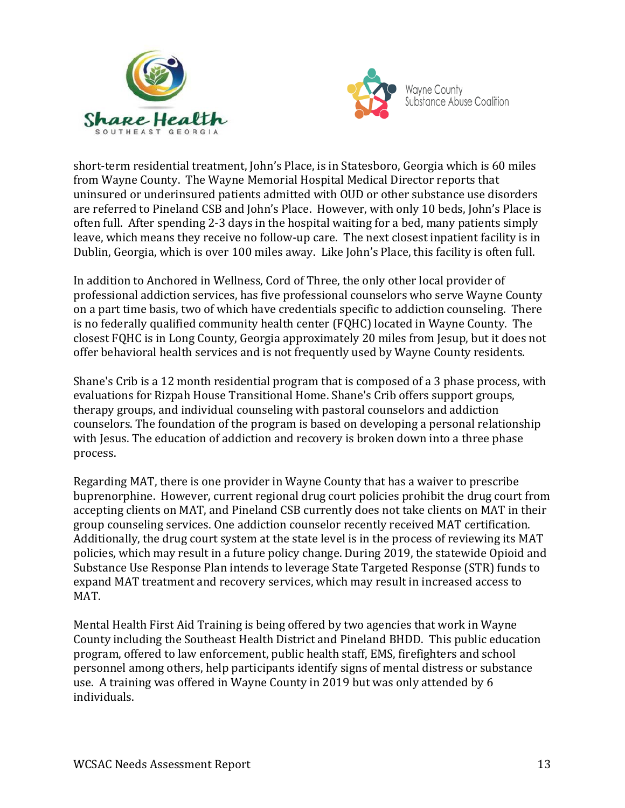



short-term residential treatment, John's Place, is in Statesboro, Georgia which is 60 miles from Wayne County. The Wayne Memorial Hospital Medical Director reports that uninsured or underinsured patients admitted with OUD or other substance use disorders are referred to Pineland CSB and John's Place. However, with only 10 beds, John's Place is often full. After spending 2-3 days in the hospital waiting for a bed, many patients simply leave, which means they receive no follow-up care. The next closest inpatient facility is in Dublin, Georgia, which is over 100 miles away. Like John's Place, this facility is often full.

In addition to Anchored in Wellness, Cord of Three, the only other local provider of professional addiction services, has five professional counselors who serve Wayne County on a part time basis, two of which have credentials specific to addiction counseling. There is no federally qualified community health center (FQHC) located in Wayne County. The closest FQHC is in Long County, Georgia approximately 20 miles from Jesup, but it does not offer behavioral health services and is not frequently used by Wayne County residents.

Shane's Crib is a 12 month residential program that is composed of a 3 phase process, with evaluations for Rizpah House Transitional Home. Shane's Crib offers support groups, therapy groups, and individual counseling with pastoral counselors and addiction counselors. The foundation of the program is based on developing a personal relationship with Jesus. The education of addiction and recovery is broken down into a three phase process.

Regarding MAT, there is one provider in Wayne County that has a waiver to prescribe buprenorphine. However, current regional drug court policies prohibit the drug court from accepting clients on MAT, and Pineland CSB currently does not take clients on MAT in their group counseling services. One addiction counselor recently received MAT certification. Additionally, the drug court system at the state level is in the process of reviewing its MAT policies, which may result in a future policy change. During 2019, the statewide Opioid and Substance Use Response Plan intends to leverage State Targeted Response (STR) funds to expand MAT treatment and recovery services, which may result in increased access to MAT.

Mental Health First Aid Training is being offered by two agencies that work in Wayne County including the Southeast Health District and Pineland BHDD. This public education program, offered to law enforcement, public health staff, EMS, firefighters and school personnel among others, help participants identify signs of mental distress or substance use. A training was offered in Wayne County in 2019 but was only attended by 6 individuals.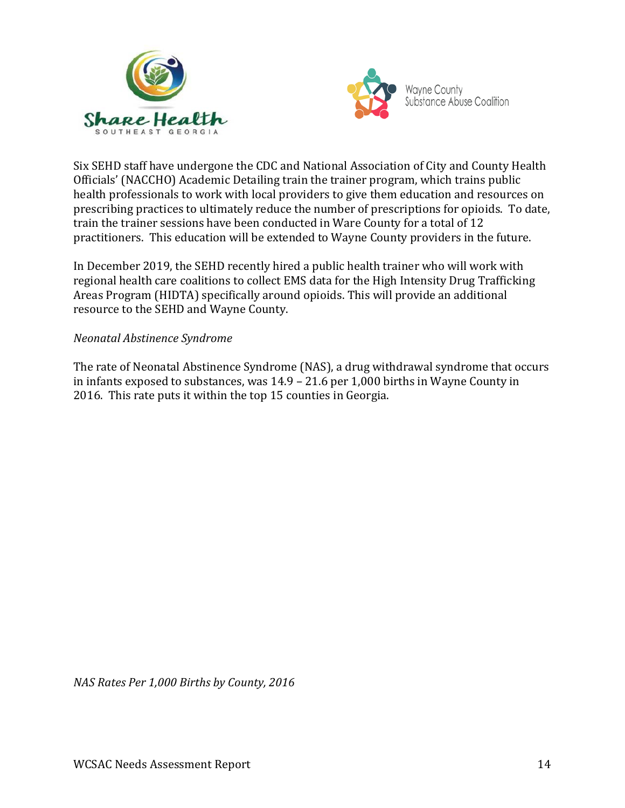



Six SEHD staff have undergone the CDC and National Association of City and County Health Officials' (NACCHO) Academic Detailing train the trainer program, which trains public health professionals to work with local providers to give them education and resources on prescribing practices to ultimately reduce the number of prescriptions for opioids. To date, train the trainer sessions have been conducted in Ware County for a total of 12 practitioners. This education will be extended to Wayne County providers in the future.

In December 2019, the SEHD recently hired a public health trainer who will work with regional health care coalitions to collect EMS data for the High Intensity Drug Trafficking Areas Program (HIDTA) specifically around opioids. This will provide an additional resource to the SEHD and Wayne County.

### *Neonatal Abstinence Syndrome*

The rate of Neonatal Abstinence Syndrome (NAS), a drug withdrawal syndrome that occurs in infants exposed to substances, was 14.9 – 21.6 per 1,000 births in Wayne County in 2016. This rate puts it within the top 15 counties in Georgia.

*NAS Rates Per 1,000 Births by County, 2016*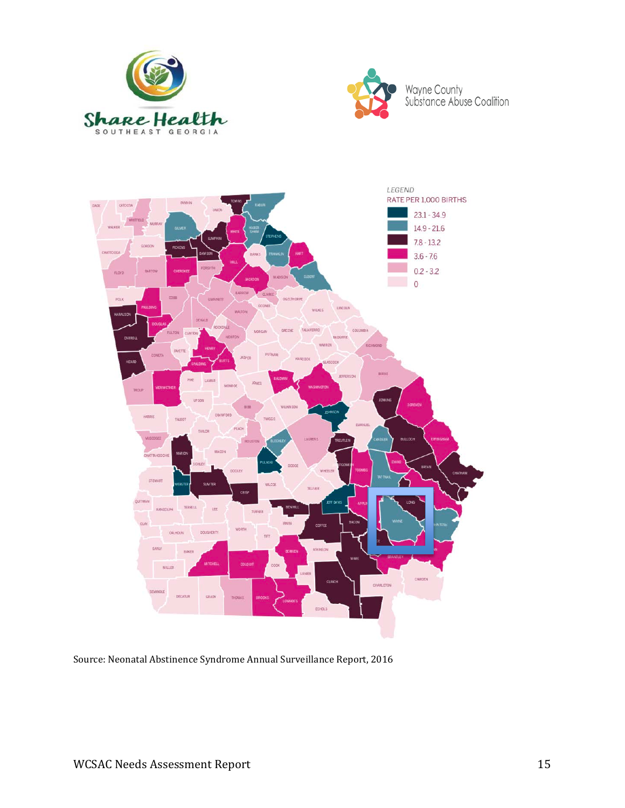





Source: Neonatal Abstinence Syndrome Annual Surveillance Report, 2016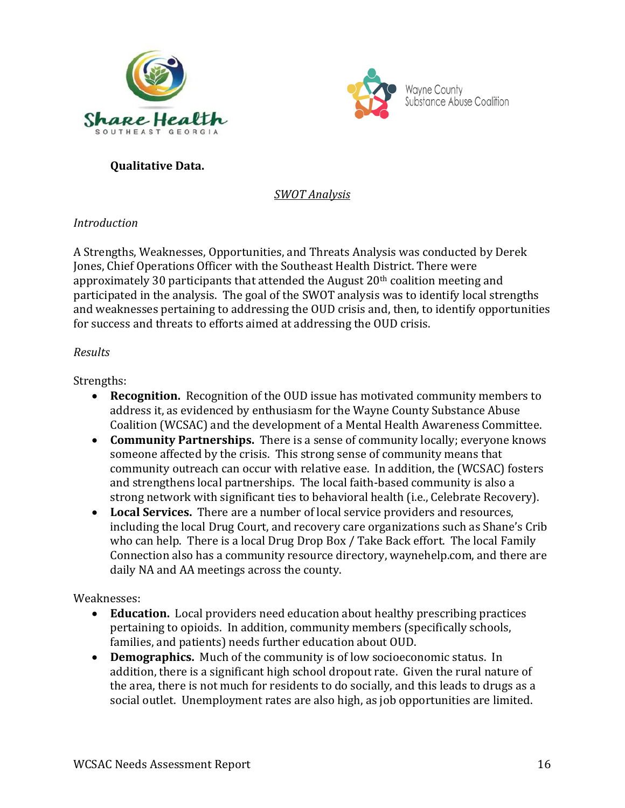



# **Qualitative Data.**

*SWOT Analysis*

# *Introduction*

A Strengths, Weaknesses, Opportunities, and Threats Analysis was conducted by Derek Jones, Chief Operations Officer with the Southeast Health District. There were approximately 30 participants that attended the August 20<sup>th</sup> coalition meeting and participated in the analysis. The goal of the SWOT analysis was to identify local strengths and weaknesses pertaining to addressing the OUD crisis and, then, to identify opportunities for success and threats to efforts aimed at addressing the OUD crisis.

# *Results*

# Strengths:

- **Recognition.** Recognition of the OUD issue has motivated community members to address it, as evidenced by enthusiasm for the Wayne County Substance Abuse Coalition (WCSAC) and the development of a Mental Health Awareness Committee.
- **Community Partnerships.** There is a sense of community locally; everyone knows someone affected by the crisis. This strong sense of community means that community outreach can occur with relative ease. In addition, the (WCSAC) fosters and strengthens local partnerships. The local faith-based community is also a strong network with significant ties to behavioral health (i.e., Celebrate Recovery).
- **Local Services.** There are a number of local service providers and resources, including the local Drug Court, and recovery care organizations such as Shane's Crib who can help. There is a local Drug Drop Box / Take Back effort. The local Family Connection also has a community resource directory, waynehelp.com, and there are daily NA and AA meetings across the county.

# Weaknesses:

- **Education.** Local providers need education about healthy prescribing practices pertaining to opioids. In addition, community members (specifically schools, families, and patients) needs further education about OUD.
- **Demographics.** Much of the community is of low socioeconomic status. In addition, there is a significant high school dropout rate. Given the rural nature of the area, there is not much for residents to do socially, and this leads to drugs as a social outlet. Unemployment rates are also high, as job opportunities are limited.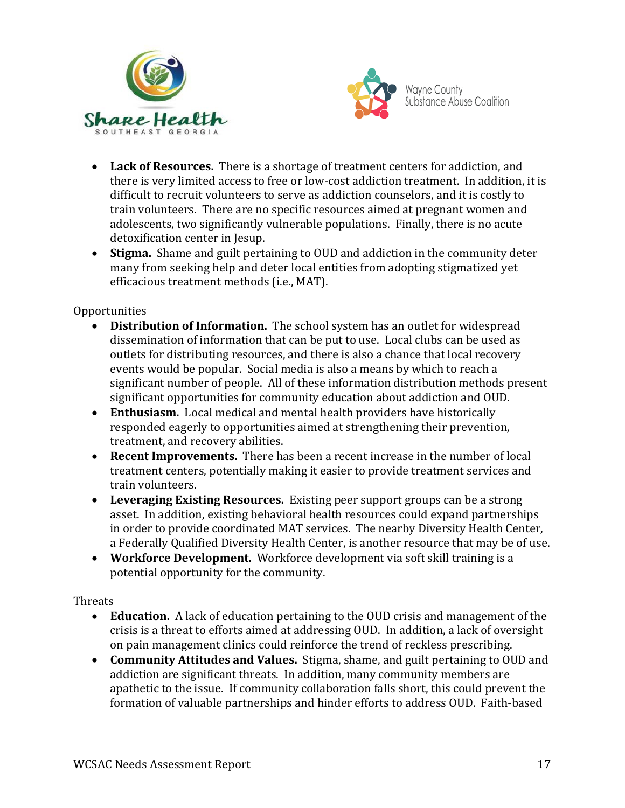



- **Lack of Resources.** There is a shortage of treatment centers for addiction, and there is very limited access to free or low-cost addiction treatment. In addition, it is difficult to recruit volunteers to serve as addiction counselors, and it is costly to train volunteers. There are no specific resources aimed at pregnant women and adolescents, two significantly vulnerable populations. Finally, there is no acute detoxification center in Jesup.
- **Stigma.** Shame and guilt pertaining to OUD and addiction in the community deter many from seeking help and deter local entities from adopting stigmatized yet efficacious treatment methods (i.e., MAT).

### Opportunities

- **Distribution of Information.** The school system has an outlet for widespread dissemination of information that can be put to use. Local clubs can be used as outlets for distributing resources, and there is also a chance that local recovery events would be popular. Social media is also a means by which to reach a significant number of people. All of these information distribution methods present significant opportunities for community education about addiction and OUD.
- **Enthusiasm.** Local medical and mental health providers have historically responded eagerly to opportunities aimed at strengthening their prevention, treatment, and recovery abilities.
- **Recent Improvements.** There has been a recent increase in the number of local treatment centers, potentially making it easier to provide treatment services and train volunteers.
- **Leveraging Existing Resources.** Existing peer support groups can be a strong asset. In addition, existing behavioral health resources could expand partnerships in order to provide coordinated MAT services. The nearby Diversity Health Center, a Federally Qualified Diversity Health Center, is another resource that may be of use.
- **Workforce Development.** Workforce development via soft skill training is a potential opportunity for the community.

### Threats

- **Education.** A lack of education pertaining to the OUD crisis and management of the crisis is a threat to efforts aimed at addressing OUD. In addition, a lack of oversight on pain management clinics could reinforce the trend of reckless prescribing.
- **Community Attitudes and Values.** Stigma, shame, and guilt pertaining to OUD and addiction are significant threats. In addition, many community members are apathetic to the issue. If community collaboration falls short, this could prevent the formation of valuable partnerships and hinder efforts to address OUD. Faith-based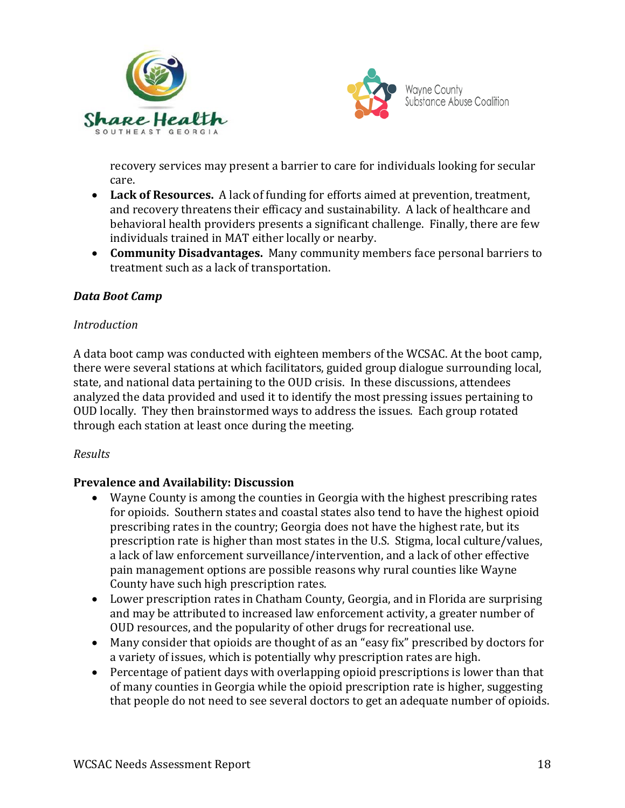



recovery services may present a barrier to care for individuals looking for secular care.

- **Lack of Resources.** A lack of funding for efforts aimed at prevention, treatment, and recovery threatens their efficacy and sustainability. A lack of healthcare and behavioral health providers presents a significant challenge. Finally, there are few individuals trained in MAT either locally or nearby.
- **Community Disadvantages.** Many community members face personal barriers to treatment such as a lack of transportation.

### *Data Boot Camp*

### *Introduction*

A data boot camp was conducted with eighteen members of the WCSAC. At the boot camp, there were several stations at which facilitators, guided group dialogue surrounding local, state, and national data pertaining to the OUD crisis. In these discussions, attendees analyzed the data provided and used it to identify the most pressing issues pertaining to OUD locally. They then brainstormed ways to address the issues. Each group rotated through each station at least once during the meeting.

### *Results*

### **Prevalence and Availability: Discussion**

- Wayne County is among the counties in Georgia with the highest prescribing rates for opioids. Southern states and coastal states also tend to have the highest opioid prescribing rates in the country; Georgia does not have the highest rate, but its prescription rate is higher than most states in the U.S. Stigma, local culture/values, a lack of law enforcement surveillance/intervention, and a lack of other effective pain management options are possible reasons why rural counties like Wayne County have such high prescription rates.
- Lower prescription rates in Chatham County, Georgia, and in Florida are surprising and may be attributed to increased law enforcement activity, a greater number of OUD resources, and the popularity of other drugs for recreational use.
- Many consider that opioids are thought of as an "easy fix" prescribed by doctors for a variety of issues, which is potentially why prescription rates are high.
- Percentage of patient days with overlapping opioid prescriptions is lower than that of many counties in Georgia while the opioid prescription rate is higher, suggesting that people do not need to see several doctors to get an adequate number of opioids.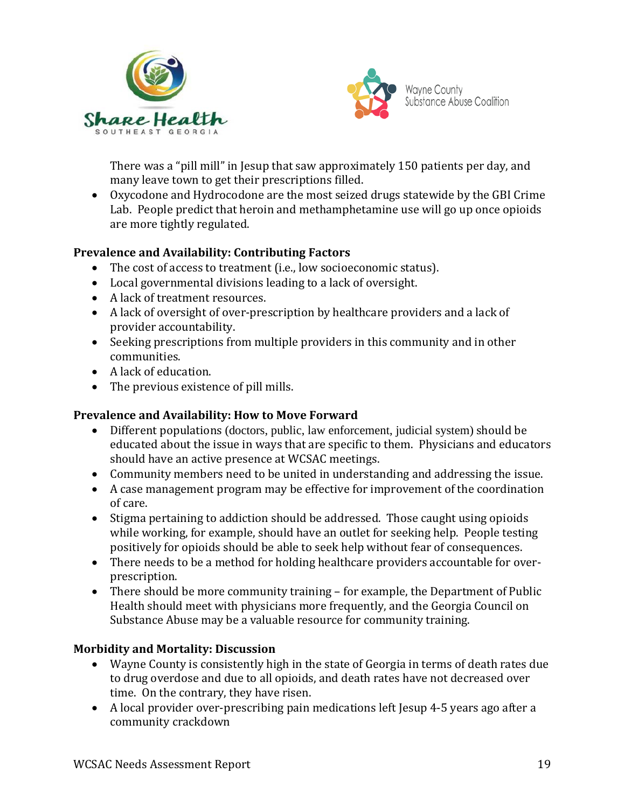



There was a "pill mill" in Jesup that saw approximately 150 patients per day, and many leave town to get their prescriptions filled.

• Oxycodone and Hydrocodone are the most seized drugs statewide by the GBI Crime Lab. People predict that heroin and methamphetamine use will go up once opioids are more tightly regulated.

### **Prevalence and Availability: Contributing Factors**

- The cost of access to treatment (i.e., low socioeconomic status).
- Local governmental divisions leading to a lack of oversight.
- A lack of treatment resources.
- A lack of oversight of over-prescription by healthcare providers and a lack of provider accountability.
- Seeking prescriptions from multiple providers in this community and in other communities.
- A lack of education.
- The previous existence of pill mills.

### **Prevalence and Availability: How to Move Forward**

- Different populations (doctors, public, law enforcement, judicial system) should be educated about the issue in ways that are specific to them. Physicians and educators should have an active presence at WCSAC meetings.
- Community members need to be united in understanding and addressing the issue.
- A case management program may be effective for improvement of the coordination of care.
- Stigma pertaining to addiction should be addressed. Those caught using opioids while working, for example, should have an outlet for seeking help. People testing positively for opioids should be able to seek help without fear of consequences.
- There needs to be a method for holding healthcare providers accountable for overprescription.
- There should be more community training for example, the Department of Public Health should meet with physicians more frequently, and the Georgia Council on Substance Abuse may be a valuable resource for community training.

# **Morbidity and Mortality: Discussion**

- Wayne County is consistently high in the state of Georgia in terms of death rates due to drug overdose and due to all opioids, and death rates have not decreased over time. On the contrary, they have risen.
- A local provider over-prescribing pain medications left Jesup 4-5 years ago after a community crackdown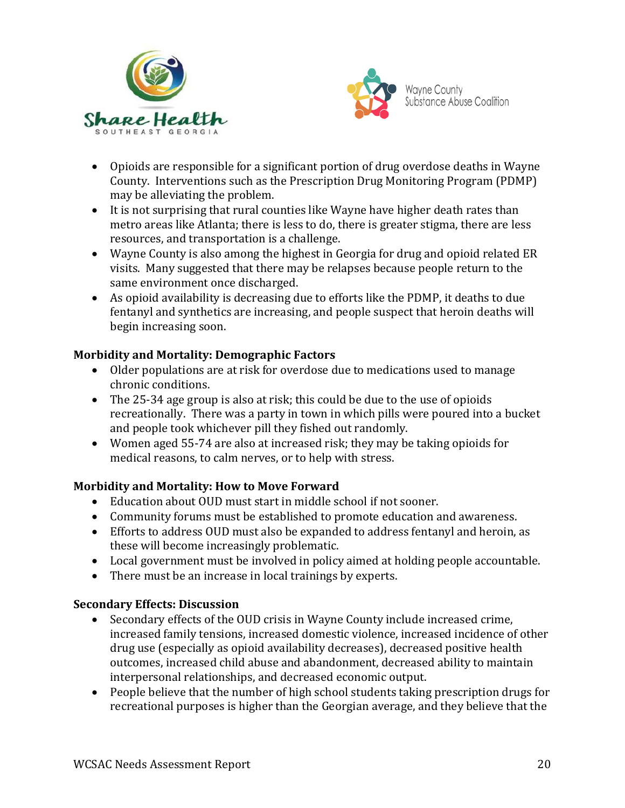



- Opioids are responsible for a significant portion of drug overdose deaths in Wayne County. Interventions such as the Prescription Drug Monitoring Program (PDMP) may be alleviating the problem.
- It is not surprising that rural counties like Wayne have higher death rates than metro areas like Atlanta; there is less to do, there is greater stigma, there are less resources, and transportation is a challenge.
- Wayne County is also among the highest in Georgia for drug and opioid related ER visits. Many suggested that there may be relapses because people return to the same environment once discharged.
- As opioid availability is decreasing due to efforts like the PDMP, it deaths to due fentanyl and synthetics are increasing, and people suspect that heroin deaths will begin increasing soon.

# **Morbidity and Mortality: Demographic Factors**

- Older populations are at risk for overdose due to medications used to manage chronic conditions.
- The 25-34 age group is also at risk; this could be due to the use of opioids recreationally. There was a party in town in which pills were poured into a bucket and people took whichever pill they fished out randomly.
- Women aged 55-74 are also at increased risk; they may be taking opioids for medical reasons, to calm nerves, or to help with stress.

# **Morbidity and Mortality: How to Move Forward**

- Education about OUD must start in middle school if not sooner.
- Community forums must be established to promote education and awareness.
- Efforts to address OUD must also be expanded to address fentanyl and heroin, as these will become increasingly problematic.
- Local government must be involved in policy aimed at holding people accountable.
- There must be an increase in local trainings by experts.

# **Secondary Effects: Discussion**

- Secondary effects of the OUD crisis in Wayne County include increased crime, increased family tensions, increased domestic violence, increased incidence of other drug use (especially as opioid availability decreases), decreased positive health outcomes, increased child abuse and abandonment, decreased ability to maintain interpersonal relationships, and decreased economic output.
- People believe that the number of high school students taking prescription drugs for recreational purposes is higher than the Georgian average, and they believe that the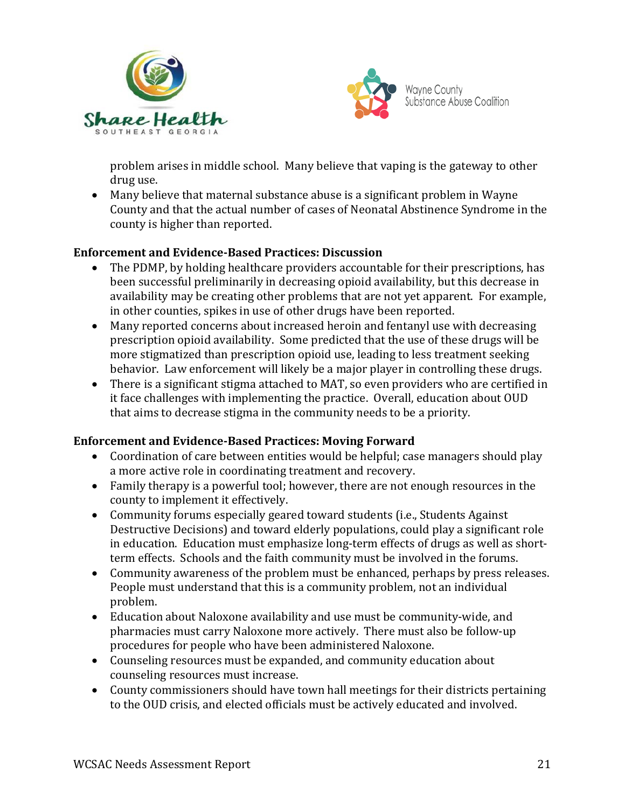



problem arises in middle school. Many believe that vaping is the gateway to other drug use.

• Many believe that maternal substance abuse is a significant problem in Wayne County and that the actual number of cases of Neonatal Abstinence Syndrome in the county is higher than reported.

### **Enforcement and Evidence-Based Practices: Discussion**

- The PDMP, by holding healthcare providers accountable for their prescriptions, has been successful preliminarily in decreasing opioid availability, but this decrease in availability may be creating other problems that are not yet apparent. For example, in other counties, spikes in use of other drugs have been reported.
- Many reported concerns about increased heroin and fentanyl use with decreasing prescription opioid availability. Some predicted that the use of these drugs will be more stigmatized than prescription opioid use, leading to less treatment seeking behavior. Law enforcement will likely be a major player in controlling these drugs.
- There is a significant stigma attached to MAT, so even providers who are certified in it face challenges with implementing the practice. Overall, education about OUD that aims to decrease stigma in the community needs to be a priority.

# **Enforcement and Evidence-Based Practices: Moving Forward**

- Coordination of care between entities would be helpful; case managers should play a more active role in coordinating treatment and recovery.
- Family therapy is a powerful tool; however, there are not enough resources in the county to implement it effectively.
- Community forums especially geared toward students (i.e., Students Against Destructive Decisions) and toward elderly populations, could play a significant role in education. Education must emphasize long-term effects of drugs as well as shortterm effects. Schools and the faith community must be involved in the forums.
- Community awareness of the problem must be enhanced, perhaps by press releases. People must understand that this is a community problem, not an individual problem.
- Education about Naloxone availability and use must be community-wide, and pharmacies must carry Naloxone more actively. There must also be follow-up procedures for people who have been administered Naloxone.
- Counseling resources must be expanded, and community education about counseling resources must increase.
- County commissioners should have town hall meetings for their districts pertaining to the OUD crisis, and elected officials must be actively educated and involved.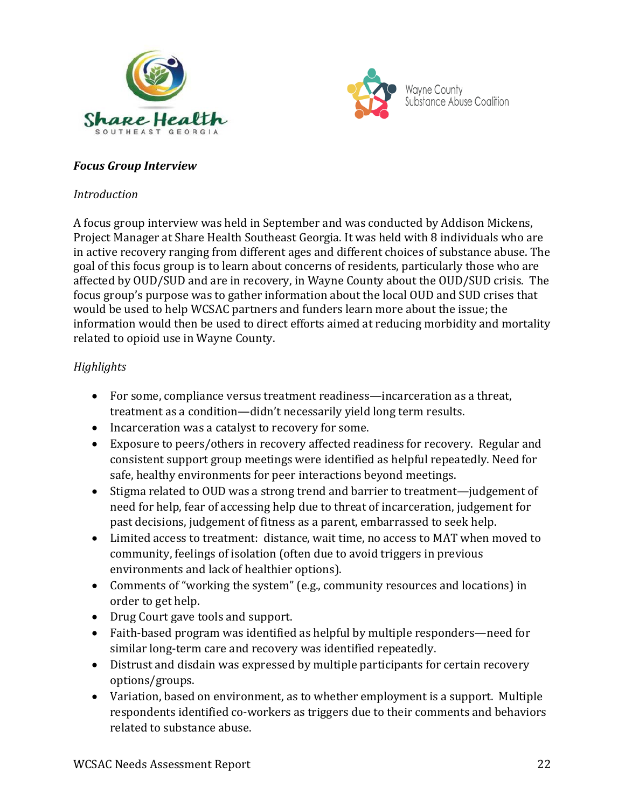



### *Focus Group Interview*

#### *Introduction*

A focus group interview was held in September and was conducted by Addison Mickens, Project Manager at Share Health Southeast Georgia. It was held with 8 individuals who are in active recovery ranging from different ages and different choices of substance abuse. The goal of this focus group is to learn about concerns of residents, particularly those who are affected by OUD/SUD and are in recovery, in Wayne County about the OUD/SUD crisis. The focus group's purpose was to gather information about the local OUD and SUD crises that would be used to help WCSAC partners and funders learn more about the issue; the information would then be used to direct efforts aimed at reducing morbidity and mortality related to opioid use in Wayne County.

### *Highlights*

- For some, compliance versus treatment readiness—incarceration as a threat, treatment as a condition—didn't necessarily yield long term results.
- Incarceration was a catalyst to recovery for some.
- Exposure to peers/others in recovery affected readiness for recovery. Regular and consistent support group meetings were identified as helpful repeatedly. Need for safe, healthy environments for peer interactions beyond meetings.
- Stigma related to OUD was a strong trend and barrier to treatment—judgement of need for help, fear of accessing help due to threat of incarceration, judgement for past decisions, judgement of fitness as a parent, embarrassed to seek help.
- Limited access to treatment: distance, wait time, no access to MAT when moved to community, feelings of isolation (often due to avoid triggers in previous environments and lack of healthier options).
- Comments of "working the system" (e.g., community resources and locations) in order to get help.
- Drug Court gave tools and support.
- Faith-based program was identified as helpful by multiple responders—need for similar long-term care and recovery was identified repeatedly.
- Distrust and disdain was expressed by multiple participants for certain recovery options/groups.
- Variation, based on environment, as to whether employment is a support. Multiple respondents identified co-workers as triggers due to their comments and behaviors related to substance abuse.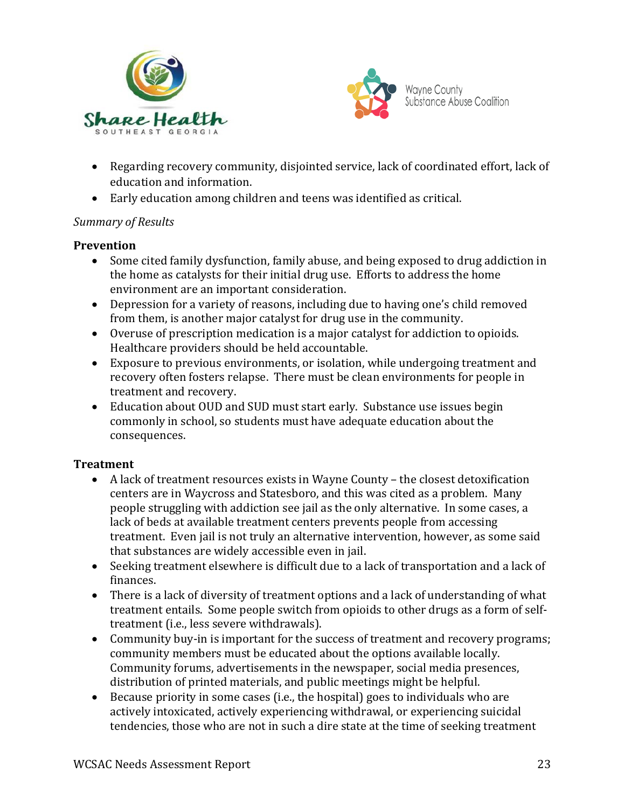



- Regarding recovery community, disjointed service, lack of coordinated effort, lack of education and information.
- Early education among children and teens was identified as critical.

# *Summary of Results*

### **Prevention**

- Some cited family dysfunction, family abuse, and being exposed to drug addiction in the home as catalysts for their initial drug use. Efforts to address the home environment are an important consideration.
- Depression for a variety of reasons, including due to having one's child removed from them, is another major catalyst for drug use in the community.
- Overuse of prescription medication is a major catalyst for addiction to opioids. Healthcare providers should be held accountable.
- Exposure to previous environments, or isolation, while undergoing treatment and recovery often fosters relapse. There must be clean environments for people in treatment and recovery.
- Education about OUD and SUD must start early. Substance use issues begin commonly in school, so students must have adequate education about the consequences.

# **Treatment**

- A lack of treatment resources exists in Wayne County the closest detoxification centers are in Waycross and Statesboro, and this was cited as a problem. Many people struggling with addiction see jail as the only alternative. In some cases, a lack of beds at available treatment centers prevents people from accessing treatment. Even jail is not truly an alternative intervention, however, as some said that substances are widely accessible even in jail.
- Seeking treatment elsewhere is difficult due to a lack of transportation and a lack of finances.
- There is a lack of diversity of treatment options and a lack of understanding of what treatment entails. Some people switch from opioids to other drugs as a form of selftreatment (i.e., less severe withdrawals).
- Community buy-in is important for the success of treatment and recovery programs; community members must be educated about the options available locally. Community forums, advertisements in the newspaper, social media presences, distribution of printed materials, and public meetings might be helpful.
- Because priority in some cases (i.e., the hospital) goes to individuals who are actively intoxicated, actively experiencing withdrawal, or experiencing suicidal tendencies, those who are not in such a dire state at the time of seeking treatment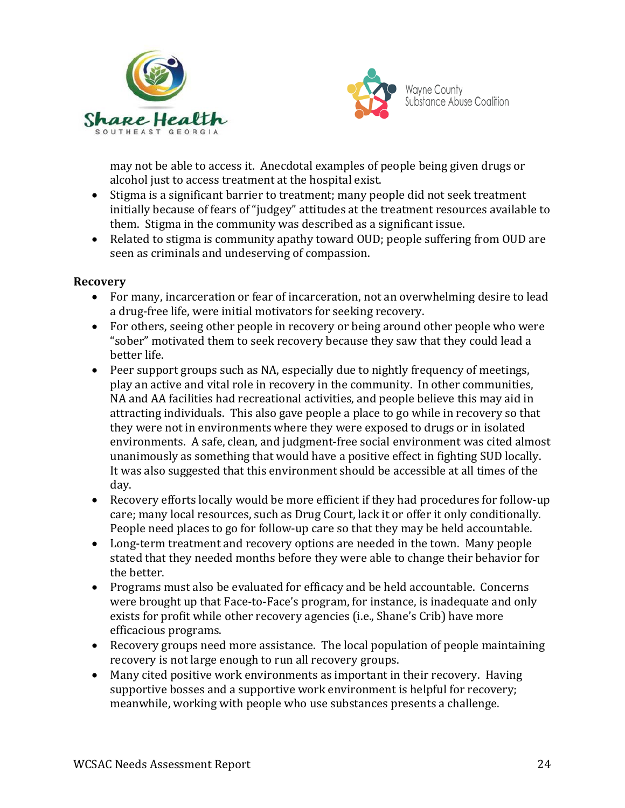



may not be able to access it. Anecdotal examples of people being given drugs or alcohol just to access treatment at the hospital exist.

- Stigma is a significant barrier to treatment; many people did not seek treatment initially because of fears of "judgey" attitudes at the treatment resources available to them. Stigma in the community was described as a significant issue.
- Related to stigma is community apathy toward OUD; people suffering from OUD are seen as criminals and undeserving of compassion.

### **Recovery**

- For many, incarceration or fear of incarceration, not an overwhelming desire to lead a drug-free life, were initial motivators for seeking recovery.
- For others, seeing other people in recovery or being around other people who were "sober" motivated them to seek recovery because they saw that they could lead a better life.
- Peer support groups such as NA, especially due to nightly frequency of meetings, play an active and vital role in recovery in the community. In other communities, NA and AA facilities had recreational activities, and people believe this may aid in attracting individuals. This also gave people a place to go while in recovery so that they were not in environments where they were exposed to drugs or in isolated environments. A safe, clean, and judgment-free social environment was cited almost unanimously as something that would have a positive effect in fighting SUD locally. It was also suggested that this environment should be accessible at all times of the day.
- Recovery efforts locally would be more efficient if they had procedures for follow-up care; many local resources, such as Drug Court, lack it or offer it only conditionally. People need places to go for follow-up care so that they may be held accountable.
- Long-term treatment and recovery options are needed in the town. Many people stated that they needed months before they were able to change their behavior for the better.
- Programs must also be evaluated for efficacy and be held accountable. Concerns were brought up that Face-to-Face's program, for instance, is inadequate and only exists for profit while other recovery agencies (i.e., Shane's Crib) have more efficacious programs.
- Recovery groups need more assistance. The local population of people maintaining recovery is not large enough to run all recovery groups.
- Many cited positive work environments as important in their recovery. Having supportive bosses and a supportive work environment is helpful for recovery; meanwhile, working with people who use substances presents a challenge.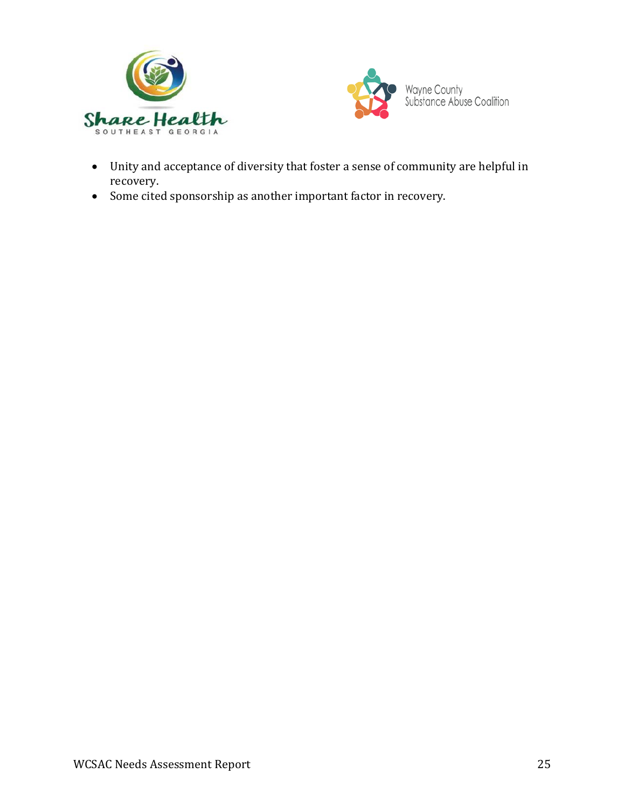



- Unity and acceptance of diversity that foster a sense of community are helpful in recovery.
- Some cited sponsorship as another important factor in recovery.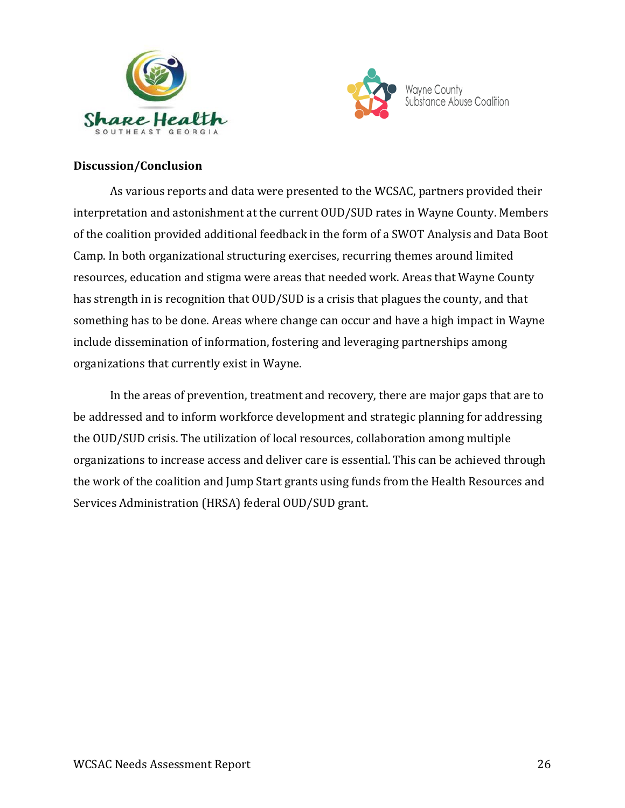



### **Discussion/Conclusion**

As various reports and data were presented to the WCSAC, partners provided their interpretation and astonishment at the current OUD/SUD rates in Wayne County. Members of the coalition provided additional feedback in the form of a SWOT Analysis and Data Boot Camp. In both organizational structuring exercises, recurring themes around limited resources, education and stigma were areas that needed work. Areas that Wayne County has strength in is recognition that OUD/SUD is a crisis that plagues the county, and that something has to be done. Areas where change can occur and have a high impact in Wayne include dissemination of information, fostering and leveraging partnerships among organizations that currently exist in Wayne.

In the areas of prevention, treatment and recovery, there are major gaps that are to be addressed and to inform workforce development and strategic planning for addressing the OUD/SUD crisis. The utilization of local resources, collaboration among multiple organizations to increase access and deliver care is essential. This can be achieved through the work of the coalition and Jump Start grants using funds from the Health Resources and Services Administration (HRSA) federal OUD/SUD grant.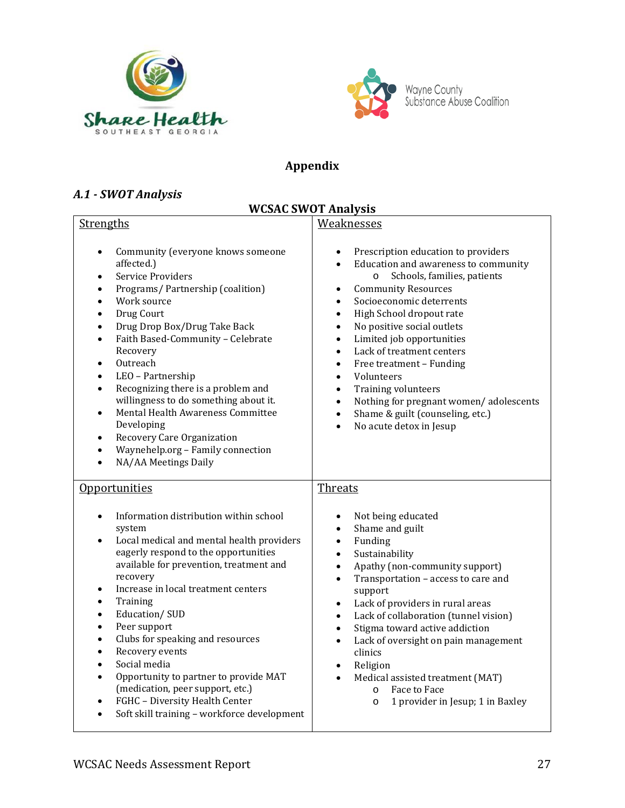



# **Appendix**

# *A.1 - SWOT Analysis*

# **WCSAC SWOT Analysis**

| <b>Strengths</b>                                                                                                                                                                                                                                                                                                                                                                                                                                                                                                                                                                                                                                                                  | Weaknesses                                                                                                                                                                                                                                                                                                                                                                                                                                                                                                                                                                                                                                                  |  |
|-----------------------------------------------------------------------------------------------------------------------------------------------------------------------------------------------------------------------------------------------------------------------------------------------------------------------------------------------------------------------------------------------------------------------------------------------------------------------------------------------------------------------------------------------------------------------------------------------------------------------------------------------------------------------------------|-------------------------------------------------------------------------------------------------------------------------------------------------------------------------------------------------------------------------------------------------------------------------------------------------------------------------------------------------------------------------------------------------------------------------------------------------------------------------------------------------------------------------------------------------------------------------------------------------------------------------------------------------------------|--|
| Community (everyone knows someone<br>$\bullet$<br>affected.)<br>Service Providers<br>$\bullet$<br>Programs/Partnership (coalition)<br>$\bullet$<br>Work source<br>$\bullet$<br>Drug Court<br>$\bullet$<br>Drug Drop Box/Drug Take Back<br>$\bullet$<br>Faith Based-Community - Celebrate<br>$\bullet$<br>Recovery<br>Outreach<br>$\bullet$<br>LEO - Partnership<br>$\bullet$<br>Recognizing there is a problem and<br>$\bullet$<br>willingness to do something about it.<br>Mental Health Awareness Committee<br>$\bullet$<br>Developing<br>Recovery Care Organization<br>$\bullet$<br>Waynehelp.org - Family connection<br>$\bullet$<br>NA/AA Meetings Daily<br>$\bullet$        | Prescription education to providers<br>٠<br>Education and awareness to community<br>$\bullet$<br>Schools, families, patients<br>$\circ$<br><b>Community Resources</b><br>$\bullet$<br>Socioeconomic deterrents<br>$\bullet$<br>High School dropout rate<br>$\bullet$<br>No positive social outlets<br>$\bullet$<br>Limited job opportunities<br>$\bullet$<br>Lack of treatment centers<br>$\bullet$<br>Free treatment - Funding<br>$\bullet$<br>Volunteers<br>$\bullet$<br>Training volunteers<br>$\bullet$<br>Nothing for pregnant women/adolescents<br>$\bullet$<br>Shame & guilt (counseling, etc.)<br>$\bullet$<br>No acute detox in Jesup<br>$\bullet$ |  |
| Opportunities                                                                                                                                                                                                                                                                                                                                                                                                                                                                                                                                                                                                                                                                     | <b>Threats</b>                                                                                                                                                                                                                                                                                                                                                                                                                                                                                                                                                                                                                                              |  |
| Information distribution within school<br>$\bullet$<br>system<br>Local medical and mental health providers<br>$\bullet$<br>eagerly respond to the opportunities<br>available for prevention, treatment and<br>recovery<br>Increase in local treatment centers<br>$\bullet$<br>Training<br>$\bullet$<br>Education/SUD<br>$\bullet$<br>Peer support<br>$\bullet$<br>Clubs for speaking and resources<br>$\bullet$<br>Recovery events<br>$\bullet$<br>Social media<br>$\bullet$<br>Opportunity to partner to provide MAT<br>$\bullet$<br>(medication, peer support, etc.)<br>FGHC - Diversity Health Center<br>$\bullet$<br>Soft skill training - workforce development<br>$\bullet$ | Not being educated<br>$\bullet$<br>Shame and guilt<br>$\bullet$<br>Funding<br>$\bullet$<br>Sustainability<br>$\bullet$<br>Apathy (non-community support)<br>$\bullet$<br>Transportation - access to care and<br>$\bullet$<br>support<br>Lack of providers in rural areas<br>$\bullet$<br>Lack of collaboration (tunnel vision)<br>$\bullet$<br>Stigma toward active addiction<br>$\bullet$<br>Lack of oversight on pain management<br>$\bullet$<br>clinics<br>Religion<br>$\bullet$<br>Medical assisted treatment (MAT)<br>$\bullet$<br>Face to Face<br>$\circ$<br>1 provider in Jesup; 1 in Baxley<br>$\circ$                                              |  |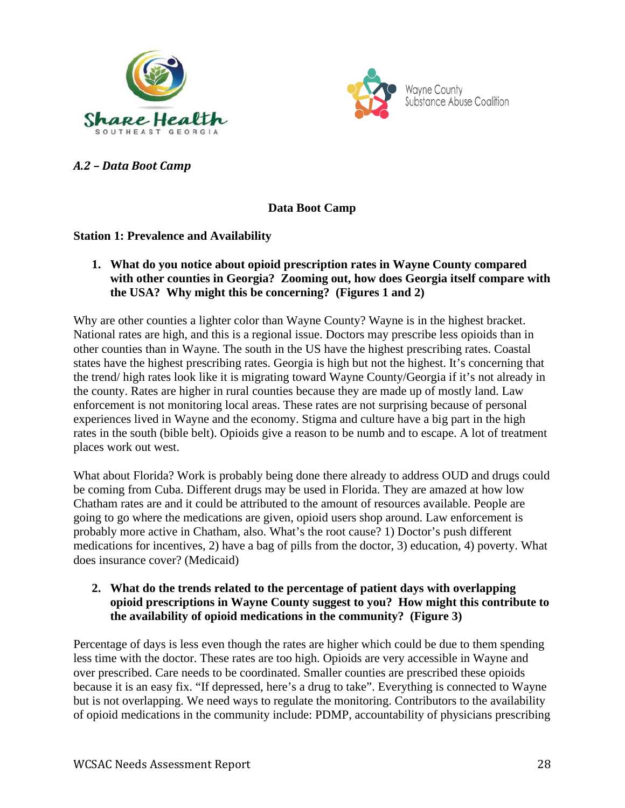



*A.2 – Data Boot Camp* 

**Data Boot Camp**

### **Station 1: Prevalence and Availability**

### **1. What do you notice about opioid prescription rates in Wayne County compared with other counties in Georgia? Zooming out, how does Georgia itself compare with the USA? Why might this be concerning? (Figures 1 and 2)**

Why are other counties a lighter color than Wayne County? Wayne is in the highest bracket. National rates are high, and this is a regional issue. Doctors may prescribe less opioids than in other counties than in Wayne. The south in the US have the highest prescribing rates. Coastal states have the highest prescribing rates. Georgia is high but not the highest. It's concerning that the trend/ high rates look like it is migrating toward Wayne County/Georgia if it's not already in the county. Rates are higher in rural counties because they are made up of mostly land. Law enforcement is not monitoring local areas. These rates are not surprising because of personal experiences lived in Wayne and the economy. Stigma and culture have a big part in the high rates in the south (bible belt). Opioids give a reason to be numb and to escape. A lot of treatment places work out west.

What about Florida? Work is probably being done there already to address OUD and drugs could be coming from Cuba. Different drugs may be used in Florida. They are amazed at how low Chatham rates are and it could be attributed to the amount of resources available. People are going to go where the medications are given, opioid users shop around. Law enforcement is probably more active in Chatham, also. What's the root cause? 1) Doctor's push different medications for incentives, 2) have a bag of pills from the doctor, 3) education, 4) poverty. What does insurance cover? (Medicaid)

### **2. What do the trends related to the percentage of patient days with overlapping opioid prescriptions in Wayne County suggest to you? How might this contribute to the availability of opioid medications in the community? (Figure 3)**

Percentage of days is less even though the rates are higher which could be due to them spending less time with the doctor. These rates are too high. Opioids are very accessible in Wayne and over prescribed. Care needs to be coordinated. Smaller counties are prescribed these opioids because it is an easy fix. "If depressed, here's a drug to take". Everything is connected to Wayne but is not overlapping. We need ways to regulate the monitoring. Contributors to the availability of opioid medications in the community include: PDMP, accountability of physicians prescribing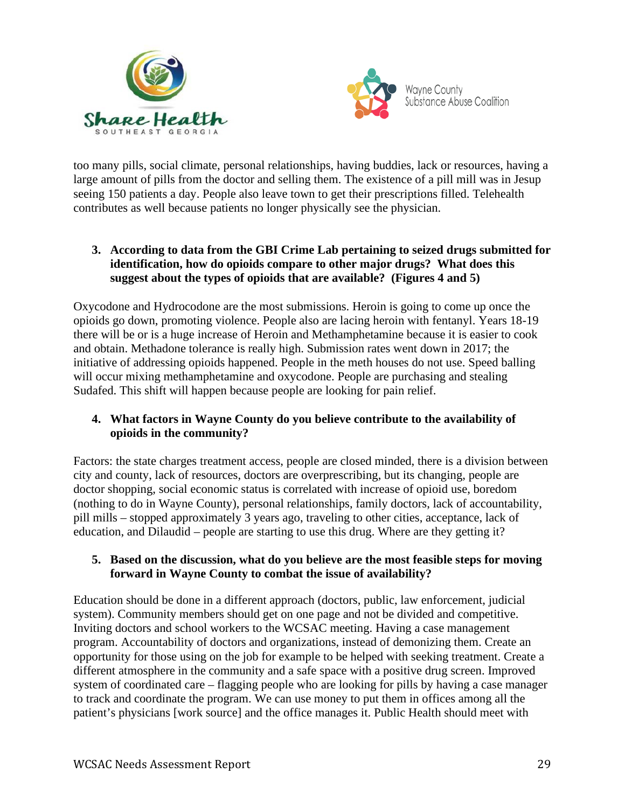



too many pills, social climate, personal relationships, having buddies, lack or resources, having a large amount of pills from the doctor and selling them. The existence of a pill mill was in Jesup seeing 150 patients a day. People also leave town to get their prescriptions filled. Telehealth contributes as well because patients no longer physically see the physician.

### **3. According to data from the GBI Crime Lab pertaining to seized drugs submitted for identification, how do opioids compare to other major drugs? What does this suggest about the types of opioids that are available? (Figures 4 and 5)**

Oxycodone and Hydrocodone are the most submissions. Heroin is going to come up once the opioids go down, promoting violence. People also are lacing heroin with fentanyl. Years 18-19 there will be or is a huge increase of Heroin and Methamphetamine because it is easier to cook and obtain. Methadone tolerance is really high. Submission rates went down in 2017; the initiative of addressing opioids happened. People in the meth houses do not use. Speed balling will occur mixing methamphetamine and oxycodone. People are purchasing and stealing Sudafed. This shift will happen because people are looking for pain relief.

### **4. What factors in Wayne County do you believe contribute to the availability of opioids in the community?**

Factors: the state charges treatment access, people are closed minded, there is a division between city and county, lack of resources, doctors are overprescribing, but its changing, people are doctor shopping, social economic status is correlated with increase of opioid use, boredom (nothing to do in Wayne County), personal relationships, family doctors, lack of accountability, pill mills – stopped approximately 3 years ago, traveling to other cities, acceptance, lack of education, and Dilaudid – people are starting to use this drug. Where are they getting it?

### **5. Based on the discussion, what do you believe are the most feasible steps for moving forward in Wayne County to combat the issue of availability?**

Education should be done in a different approach (doctors, public, law enforcement, judicial system). Community members should get on one page and not be divided and competitive. Inviting doctors and school workers to the WCSAC meeting. Having a case management program. Accountability of doctors and organizations, instead of demonizing them. Create an opportunity for those using on the job for example to be helped with seeking treatment. Create a different atmosphere in the community and a safe space with a positive drug screen. Improved system of coordinated care – flagging people who are looking for pills by having a case manager to track and coordinate the program. We can use money to put them in offices among all the patient's physicians [work source] and the office manages it. Public Health should meet with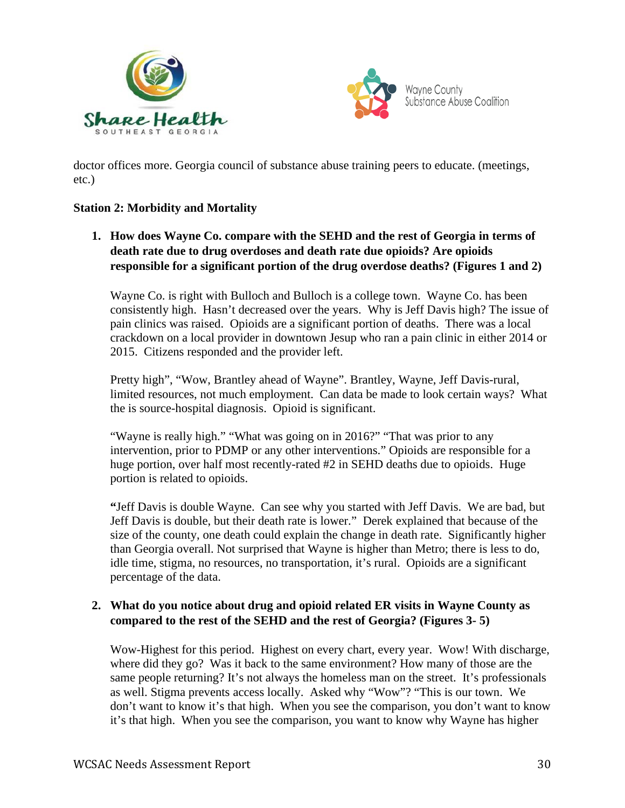



doctor offices more. Georgia council of substance abuse training peers to educate. (meetings, etc.)

### **Station 2: Morbidity and Mortality**

**1. How does Wayne Co. compare with the SEHD and the rest of Georgia in terms of death rate due to drug overdoses and death rate due opioids? Are opioids responsible for a significant portion of the drug overdose deaths? (Figures 1 and 2)**

Wayne Co. is right with Bulloch and Bulloch is a college town. Wayne Co. has been consistently high. Hasn't decreased over the years. Why is Jeff Davis high? The issue of pain clinics was raised. Opioids are a significant portion of deaths. There was a local crackdown on a local provider in downtown Jesup who ran a pain clinic in either 2014 or 2015. Citizens responded and the provider left.

Pretty high", "Wow, Brantley ahead of Wayne". Brantley, Wayne, Jeff Davis-rural, limited resources, not much employment. Can data be made to look certain ways? What the is source-hospital diagnosis. Opioid is significant.

"Wayne is really high." "What was going on in 2016?" "That was prior to any intervention, prior to PDMP or any other interventions." Opioids are responsible for a huge portion, over half most recently-rated #2 in SEHD deaths due to opioids. Huge portion is related to opioids.

**"**Jeff Davis is double Wayne. Can see why you started with Jeff Davis. We are bad, but Jeff Davis is double, but their death rate is lower." Derek explained that because of the size of the county, one death could explain the change in death rate. Significantly higher than Georgia overall. Not surprised that Wayne is higher than Metro; there is less to do, idle time, stigma, no resources, no transportation, it's rural. Opioids are a significant percentage of the data.

### **2. What do you notice about drug and opioid related ER visits in Wayne County as compared to the rest of the SEHD and the rest of Georgia? (Figures 3- 5)**

Wow-Highest for this period. Highest on every chart, every year. Wow! With discharge, where did they go? Was it back to the same environment? How many of those are the same people returning? It's not always the homeless man on the street. It's professionals as well. Stigma prevents access locally. Asked why "Wow"? "This is our town. We don't want to know it's that high. When you see the comparison, you don't want to know it's that high. When you see the comparison, you want to know why Wayne has higher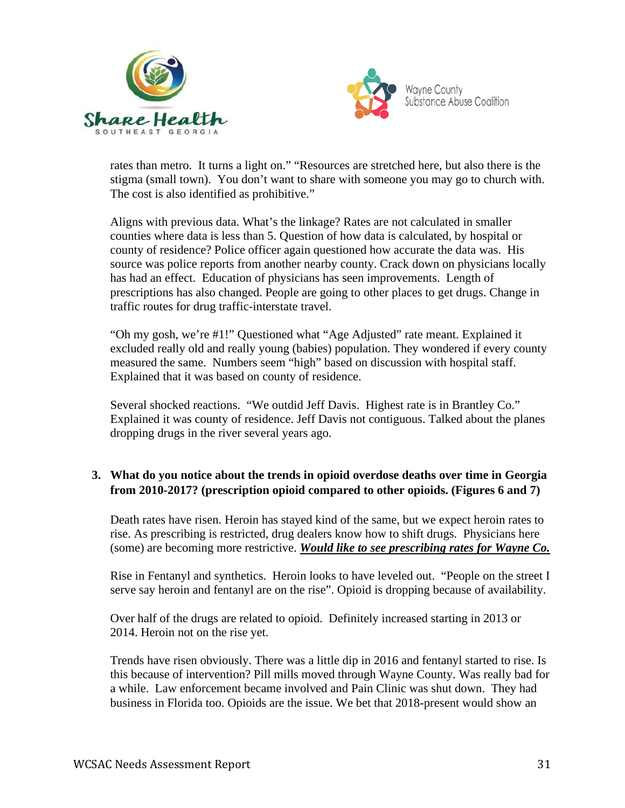



rates than metro. It turns a light on." "Resources are stretched here, but also there is the stigma (small town). You don't want to share with someone you may go to church with. The cost is also identified as prohibitive."

Aligns with previous data. What's the linkage? Rates are not calculated in smaller counties where data is less than 5. Question of how data is calculated, by hospital or county of residence? Police officer again questioned how accurate the data was. His source was police reports from another nearby county. Crack down on physicians locally has had an effect. Education of physicians has seen improvements. Length of prescriptions has also changed. People are going to other places to get drugs. Change in traffic routes for drug traffic-interstate travel.

"Oh my gosh, we're #1!" Questioned what "Age Adjusted" rate meant. Explained it excluded really old and really young (babies) population. They wondered if every county measured the same. Numbers seem "high" based on discussion with hospital staff. Explained that it was based on county of residence.

Several shocked reactions. "We outdid Jeff Davis. Highest rate is in Brantley Co." Explained it was county of residence. Jeff Davis not contiguous. Talked about the planes dropping drugs in the river several years ago.

# **3. What do you notice about the trends in opioid overdose deaths over time in Georgia from 2010-2017? (prescription opioid compared to other opioids. (Figures 6 and 7)**

Death rates have risen. Heroin has stayed kind of the same, but we expect heroin rates to rise. As prescribing is restricted, drug dealers know how to shift drugs. Physicians here (some) are becoming more restrictive. *Would like to see prescribing rates for Wayne Co.*

Rise in Fentanyl and synthetics. Heroin looks to have leveled out. "People on the street I serve say heroin and fentanyl are on the rise". Opioid is dropping because of availability.

Over half of the drugs are related to opioid. Definitely increased starting in 2013 or 2014. Heroin not on the rise yet.

Trends have risen obviously. There was a little dip in 2016 and fentanyl started to rise. Is this because of intervention? Pill mills moved through Wayne County. Was really bad for a while. Law enforcement became involved and Pain Clinic was shut down. They had business in Florida too. Opioids are the issue. We bet that 2018-present would show an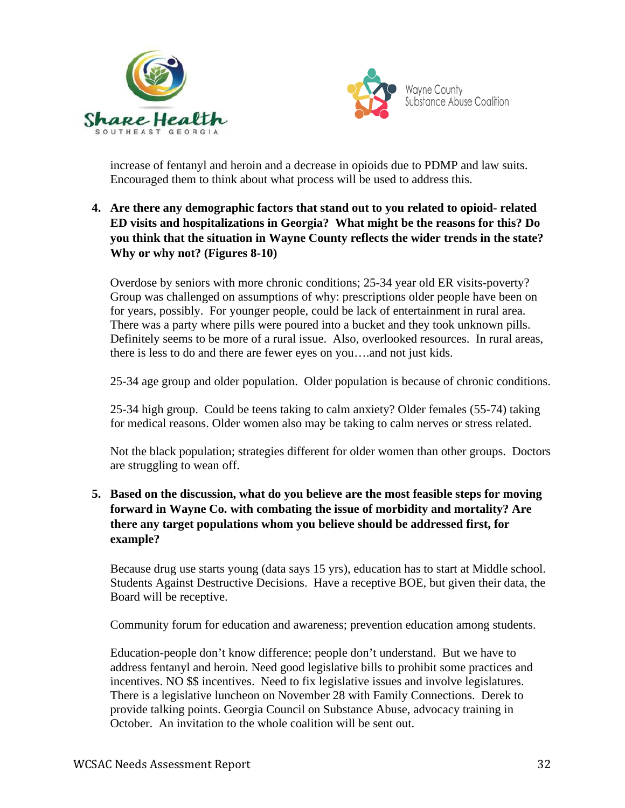



increase of fentanyl and heroin and a decrease in opioids due to PDMP and law suits. Encouraged them to think about what process will be used to address this.

### **4. Are there any demographic factors that stand out to you related to opioid- related ED visits and hospitalizations in Georgia? What might be the reasons for this? Do you think that the situation in Wayne County reflects the wider trends in the state? Why or why not? (Figures 8-10)**

Overdose by seniors with more chronic conditions; 25-34 year old ER visits-poverty? Group was challenged on assumptions of why: prescriptions older people have been on for years, possibly. For younger people, could be lack of entertainment in rural area. There was a party where pills were poured into a bucket and they took unknown pills. Definitely seems to be more of a rural issue. Also, overlooked resources. In rural areas, there is less to do and there are fewer eyes on you….and not just kids.

25-34 age group and older population. Older population is because of chronic conditions.

25-34 high group. Could be teens taking to calm anxiety? Older females (55-74) taking for medical reasons. Older women also may be taking to calm nerves or stress related.

Not the black population; strategies different for older women than other groups. Doctors are struggling to wean off.

### **5. Based on the discussion, what do you believe are the most feasible steps for moving forward in Wayne Co. with combating the issue of morbidity and mortality? Are there any target populations whom you believe should be addressed first, for example?**

Because drug use starts young (data says 15 yrs), education has to start at Middle school. Students Against Destructive Decisions. Have a receptive BOE, but given their data, the Board will be receptive.

Community forum for education and awareness; prevention education among students.

Education-people don't know difference; people don't understand. But we have to address fentanyl and heroin. Need good legislative bills to prohibit some practices and incentives. NO \$\$ incentives. Need to fix legislative issues and involve legislatures. There is a legislative luncheon on November 28 with Family Connections. Derek to provide talking points. Georgia Council on Substance Abuse, advocacy training in October. An invitation to the whole coalition will be sent out.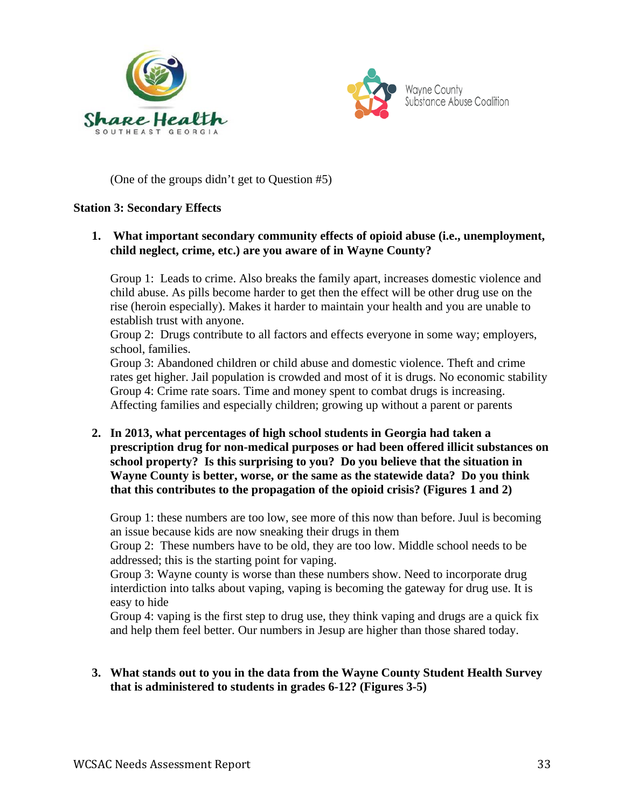



(One of the groups didn't get to Question #5)

#### **Station 3: Secondary Effects**

### **1. What important secondary community effects of opioid abuse (i.e., unemployment, child neglect, crime, etc.) are you aware of in Wayne County?**

Group 1: Leads to crime. Also breaks the family apart, increases domestic violence and child abuse. As pills become harder to get then the effect will be other drug use on the rise (heroin especially). Makes it harder to maintain your health and you are unable to establish trust with anyone.

Group 2: Drugs contribute to all factors and effects everyone in some way; employers, school, families.

Group 3: Abandoned children or child abuse and domestic violence. Theft and crime rates get higher. Jail population is crowded and most of it is drugs. No economic stability Group 4: Crime rate soars. Time and money spent to combat drugs is increasing. Affecting families and especially children; growing up without a parent or parents

**2. In 2013, what percentages of high school students in Georgia had taken a prescription drug for non-medical purposes or had been offered illicit substances on school property? Is this surprising to you? Do you believe that the situation in Wayne County is better, worse, or the same as the statewide data? Do you think that this contributes to the propagation of the opioid crisis? (Figures 1 and 2)**

Group 1: these numbers are too low, see more of this now than before. Juul is becoming an issue because kids are now sneaking their drugs in them

Group 2: These numbers have to be old, they are too low. Middle school needs to be addressed; this is the starting point for vaping.

Group 3: Wayne county is worse than these numbers show. Need to incorporate drug interdiction into talks about vaping, vaping is becoming the gateway for drug use. It is easy to hide

Group 4: vaping is the first step to drug use, they think vaping and drugs are a quick fix and help them feel better. Our numbers in Jesup are higher than those shared today.

### **3. What stands out to you in the data from the Wayne County Student Health Survey that is administered to students in grades 6-12? (Figures 3-5)**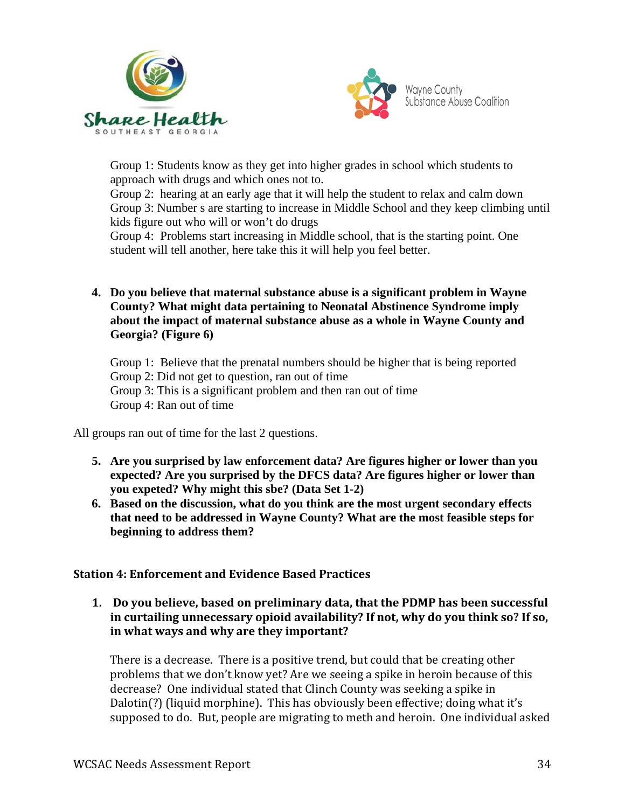



Group 1: Students know as they get into higher grades in school which students to approach with drugs and which ones not to.

Group 2: hearing at an early age that it will help the student to relax and calm down Group 3: Number s are starting to increase in Middle School and they keep climbing until kids figure out who will or won't do drugs

Group 4: Problems start increasing in Middle school, that is the starting point. One student will tell another, here take this it will help you feel better.

**4. Do you believe that maternal substance abuse is a significant problem in Wayne County? What might data pertaining to Neonatal Abstinence Syndrome imply about the impact of maternal substance abuse as a whole in Wayne County and Georgia? (Figure 6)**

Group 1: Believe that the prenatal numbers should be higher that is being reported Group 2: Did not get to question, ran out of time Group 3: This is a significant problem and then ran out of time Group 4: Ran out of time

All groups ran out of time for the last 2 questions.

- **5. Are you surprised by law enforcement data? Are figures higher or lower than you expected? Are you surprised by the DFCS data? Are figures higher or lower than you expeted? Why might this sbe? (Data Set 1-2)**
- **6. Based on the discussion, what do you think are the most urgent secondary effects that need to be addressed in Wayne County? What are the most feasible steps for beginning to address them?**

### **Station 4: Enforcement and Evidence Based Practices**

**1. Do you believe, based on preliminary data, that the PDMP has been successful in curtailing unnecessary opioid availability? If not, why do you think so? If so, in what ways and why are they important?**

There is a decrease. There is a positive trend, but could that be creating other problems that we don't know yet? Are we seeing a spike in heroin because of this decrease? One individual stated that Clinch County was seeking a spike in Dalotin(?) (liquid morphine). This has obviously been effective; doing what it's supposed to do. But, people are migrating to meth and heroin. One individual asked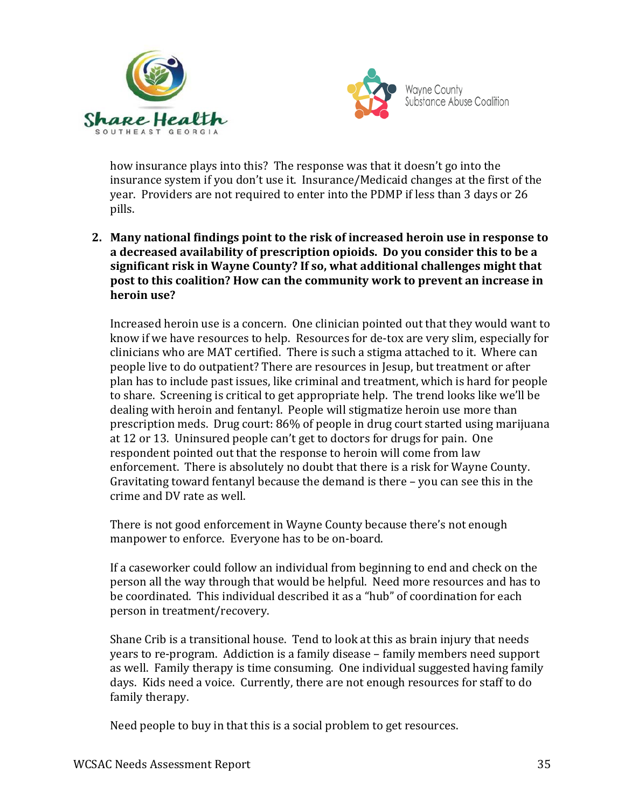



how insurance plays into this? The response was that it doesn't go into the insurance system if you don't use it. Insurance/Medicaid changes at the first of the year. Providers are not required to enter into the PDMP if less than 3 days or 26 pills.

**2. Many national findings point to the risk of increased heroin use in response to a decreased availability of prescription opioids. Do you consider this to be a significant risk in Wayne County? If so, what additional challenges might that post to this coalition? How can the community work to prevent an increase in heroin use?**

Increased heroin use is a concern. One clinician pointed out that they would want to know if we have resources to help. Resources for de-tox are very slim, especially for clinicians who are MAT certified. There is such a stigma attached to it. Where can people live to do outpatient? There are resources in Jesup, but treatment or after plan has to include past issues, like criminal and treatment, which is hard for people to share. Screening is critical to get appropriate help. The trend looks like we'll be dealing with heroin and fentanyl. People will stigmatize heroin use more than prescription meds. Drug court: 86% of people in drug court started using marijuana at 12 or 13. Uninsured people can't get to doctors for drugs for pain. One respondent pointed out that the response to heroin will come from law enforcement. There is absolutely no doubt that there is a risk for Wayne County. Gravitating toward fentanyl because the demand is there – you can see this in the crime and DV rate as well.

There is not good enforcement in Wayne County because there's not enough manpower to enforce. Everyone has to be on-board.

If a caseworker could follow an individual from beginning to end and check on the person all the way through that would be helpful. Need more resources and has to be coordinated. This individual described it as a "hub" of coordination for each person in treatment/recovery.

Shane Crib is a transitional house. Tend to look at this as brain injury that needs years to re-program. Addiction is a family disease – family members need support as well. Family therapy is time consuming. One individual suggested having family days. Kids need a voice. Currently, there are not enough resources for staff to do family therapy.

Need people to buy in that this is a social problem to get resources.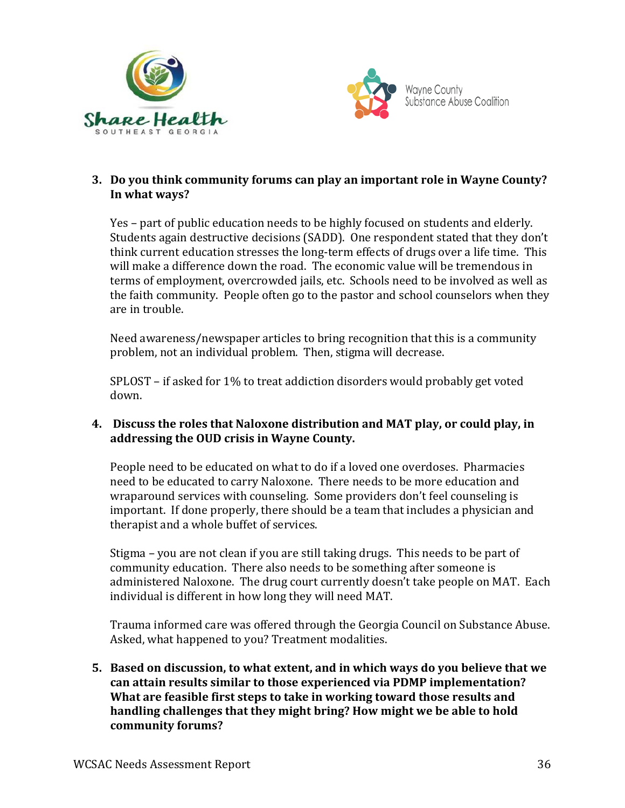



# **3. Do you think community forums can play an important role in Wayne County? In what ways?**

Yes – part of public education needs to be highly focused on students and elderly. Students again destructive decisions (SADD). One respondent stated that they don't think current education stresses the long-term effects of drugs over a life time. This will make a difference down the road. The economic value will be tremendous in terms of employment, overcrowded jails, etc. Schools need to be involved as well as the faith community. People often go to the pastor and school counselors when they are in trouble.

Need awareness/newspaper articles to bring recognition that this is a community problem, not an individual problem. Then, stigma will decrease.

SPLOST – if asked for 1% to treat addiction disorders would probably get voted down.

### **4. Discuss the roles that Naloxone distribution and MAT play, or could play, in addressing the OUD crisis in Wayne County.**

People need to be educated on what to do if a loved one overdoses. Pharmacies need to be educated to carry Naloxone. There needs to be more education and wraparound services with counseling. Some providers don't feel counseling is important. If done properly, there should be a team that includes a physician and therapist and a whole buffet of services.

Stigma – you are not clean if you are still taking drugs. This needs to be part of community education. There also needs to be something after someone is administered Naloxone. The drug court currently doesn't take people on MAT. Each individual is different in how long they will need MAT.

Trauma informed care was offered through the Georgia Council on Substance Abuse. Asked, what happened to you? Treatment modalities.

**5. Based on discussion, to what extent, and in which ways do you believe that we can attain results similar to those experienced via PDMP implementation? What are feasible first steps to take in working toward those results and handling challenges that they might bring? How might we be able to hold community forums?**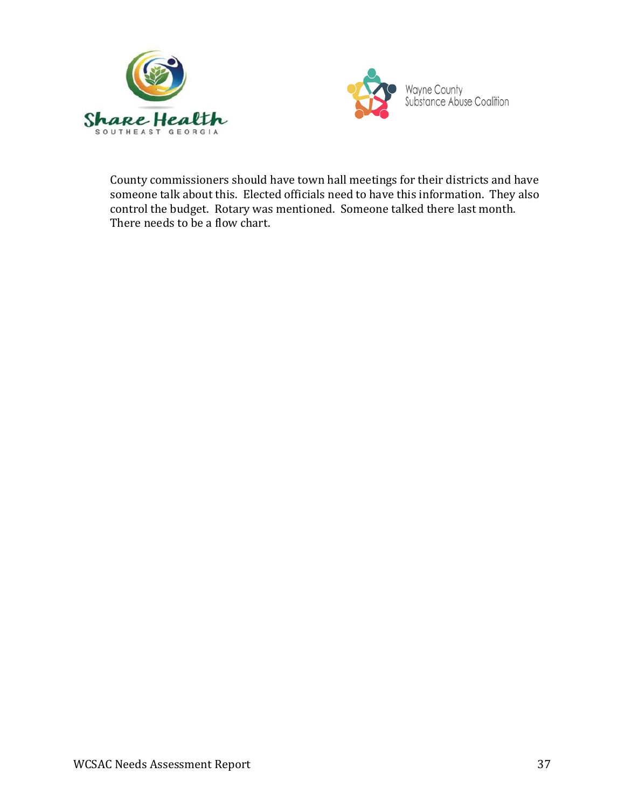



County commissioners should have town hall meetings for their districts and have someone talk about this. Elected officials need to have this information. They also control the budget. Rotary was mentioned. Someone talked there last month. There needs to be a flow chart.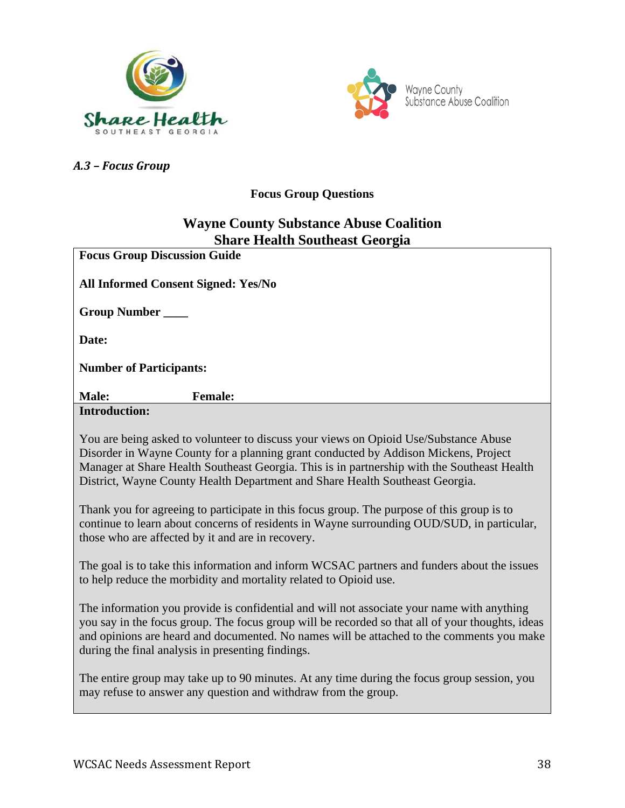



*A.3 – Focus Group* 

# **Focus Group Questions**

# **Wayne County Substance Abuse Coalition Share Health Southeast Georgia**

| энаге пеани эминсам осогда                                                                                                                                                                                                                                                                                                                                 |
|------------------------------------------------------------------------------------------------------------------------------------------------------------------------------------------------------------------------------------------------------------------------------------------------------------------------------------------------------------|
| <b>Focus Group Discussion Guide</b>                                                                                                                                                                                                                                                                                                                        |
| <b>All Informed Consent Signed: Yes/No</b>                                                                                                                                                                                                                                                                                                                 |
| Group Number                                                                                                                                                                                                                                                                                                                                               |
| Date:                                                                                                                                                                                                                                                                                                                                                      |
| <b>Number of Participants:</b>                                                                                                                                                                                                                                                                                                                             |
| Male:<br><b>Female:</b>                                                                                                                                                                                                                                                                                                                                    |
| <b>Introduction:</b>                                                                                                                                                                                                                                                                                                                                       |
| You are being asked to volunteer to discuss your views on Opioid Use/Substance Abuse<br>Disorder in Wayne County for a planning grant conducted by Addison Mickens, Project<br>Manager at Share Health Southeast Georgia. This is in partnership with the Southeast Health<br>District, Wayne County Health Department and Share Health Southeast Georgia. |
| Thank you for agreeing to participate in this focus group. The purpose of this group is to<br>continue to learn about concerns of residents in Wayne surrounding OUD/SUD, in particular,<br>those who are affected by it and are in recovery.                                                                                                              |
| The goal is to take this information and inform WCSAC partners and funders about the issues<br>to help reduce the morbidity and mortality related to Opioid use.                                                                                                                                                                                           |
| The information you provide is confidential and will not associate your name with anything<br>you say in the focus group. The focus group will be recorded so that all of your thoughts, ideas<br>and opinions are heard and documented. No names will be attached to the comments you make<br>during the final analysis in presenting findings.           |
| The entire group may take up to 90 minutes. At any time during the focus group session, you<br>may refuse to answer any question and withdraw from the group.                                                                                                                                                                                              |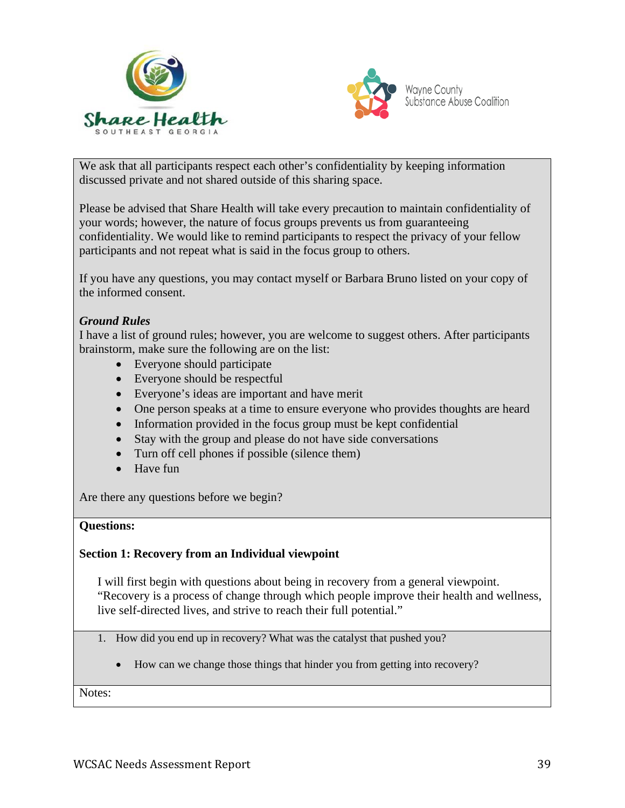



We ask that all participants respect each other's confidentiality by keeping information discussed private and not shared outside of this sharing space.

Please be advised that Share Health will take every precaution to maintain confidentiality of your words; however, the nature of focus groups prevents us from guaranteeing confidentiality. We would like to remind participants to respect the privacy of your fellow participants and not repeat what is said in the focus group to others.

If you have any questions, you may contact myself or Barbara Bruno listed on your copy of the informed consent.

#### *Ground Rules*

I have a list of ground rules; however, you are welcome to suggest others. After participants brainstorm, make sure the following are on the list:

- Everyone should participate
- Everyone should be respectful
- Everyone's ideas are important and have merit
- One person speaks at a time to ensure everyone who provides thoughts are heard
- Information provided in the focus group must be kept confidential
- Stay with the group and please do not have side conversations
- Turn off cell phones if possible (silence them)
- Have fun

Are there any questions before we begin?

#### **Questions:**

#### **Section 1: Recovery from an Individual viewpoint**

I will first begin with questions about being in recovery from a general viewpoint. "Recovery is a process of change through which people improve their health and wellness, live self-directed lives, and strive to reach their full potential."

- 1. How did you end up in recovery? What was the catalyst that pushed you?
	- How can we change those things that hinder you from getting into recovery?

Notes: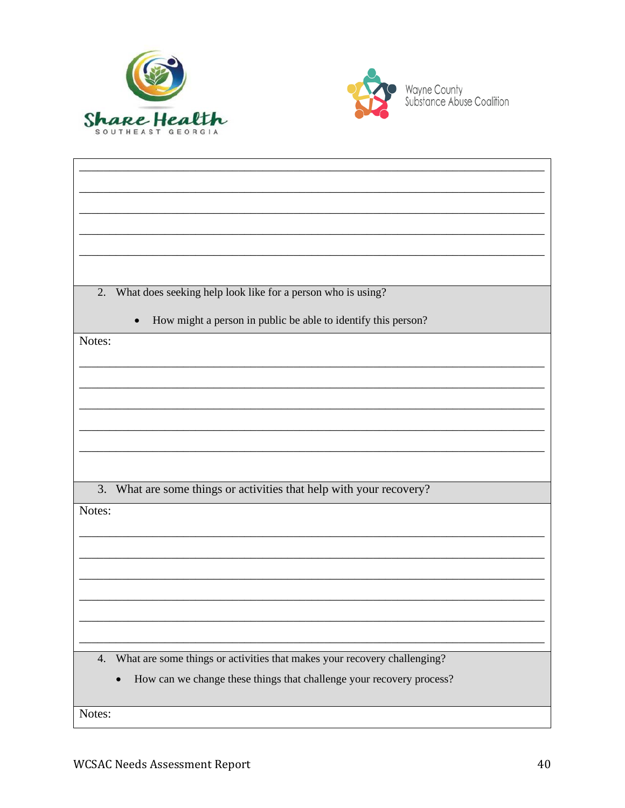



| What does seeking help look like for a person who is using?<br>2.              |
|--------------------------------------------------------------------------------|
| How might a person in public be able to identify this person?                  |
| Notes:                                                                         |
|                                                                                |
|                                                                                |
|                                                                                |
|                                                                                |
|                                                                                |
|                                                                                |
|                                                                                |
|                                                                                |
| What are some things or activities that help with your recovery?<br>3.         |
| Notes:                                                                         |
|                                                                                |
|                                                                                |
|                                                                                |
|                                                                                |
|                                                                                |
|                                                                                |
|                                                                                |
|                                                                                |
|                                                                                |
| What are some things or activities that makes your recovery challenging?<br>4. |
| How can we change these things that challenge your recovery process?           |
|                                                                                |
| Notes:                                                                         |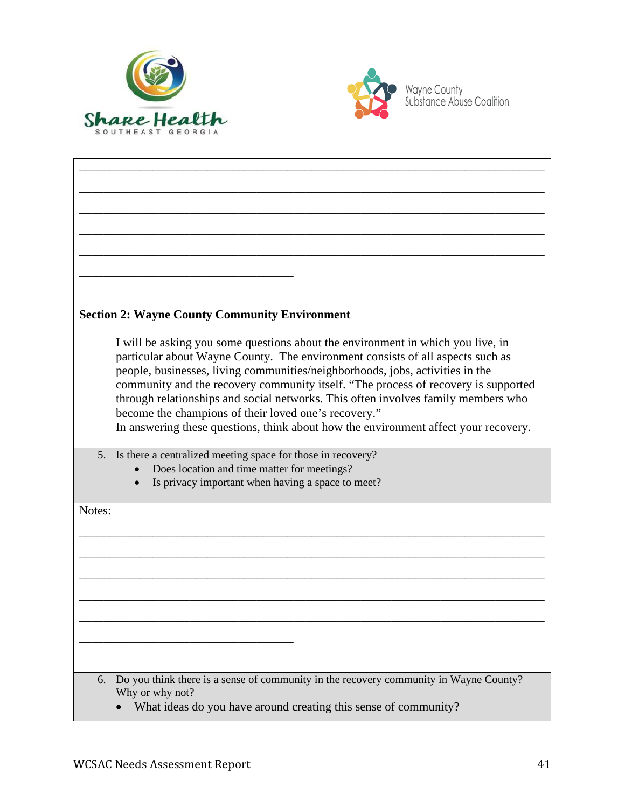



| <b>Section 2: Wayne County Community Environment</b>                                        |
|---------------------------------------------------------------------------------------------|
|                                                                                             |
| I will be asking you some questions about the environment in which you live, in             |
| particular about Wayne County. The environment consists of all aspects such as              |
| people, businesses, living communities/neighborhoods, jobs, activities in the               |
| community and the recovery community itself. "The process of recovery is supported          |
| through relationships and social networks. This often involves family members who           |
| become the champions of their loved one's recovery."                                        |
|                                                                                             |
| In answering these questions, think about how the environment affect your recovery.         |
| 5 <sub>1</sub><br>Is there a centralized meeting space for those in recovery?               |
| Does location and time matter for meetings?                                                 |
| Is privacy important when having a space to meet?                                           |
|                                                                                             |
| Notes:                                                                                      |
|                                                                                             |
|                                                                                             |
|                                                                                             |
|                                                                                             |
|                                                                                             |
|                                                                                             |
|                                                                                             |
|                                                                                             |
|                                                                                             |
|                                                                                             |
|                                                                                             |
|                                                                                             |
|                                                                                             |
| Do you think there is a sense of community in the recovery community in Wayne County?<br>6. |
| Why or why not?                                                                             |
|                                                                                             |
| What ideas do you have around creating this sense of community?                             |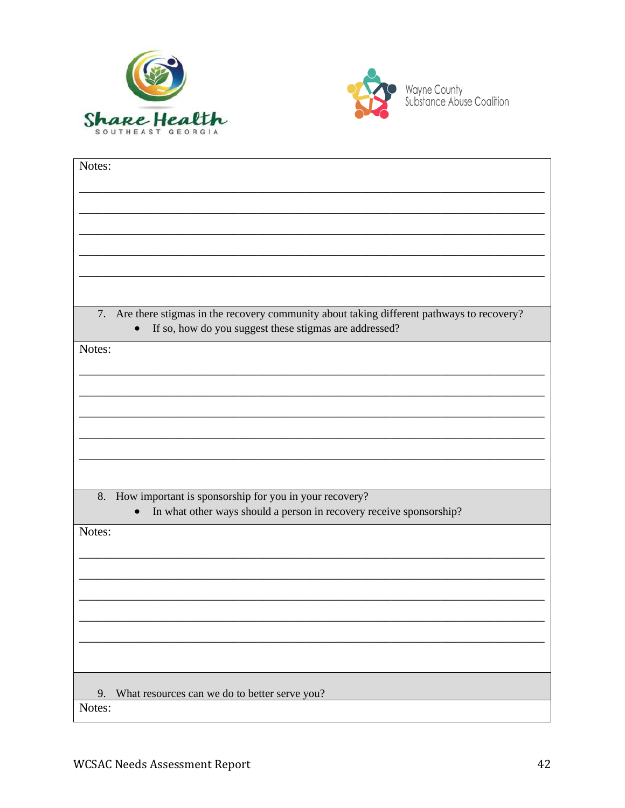



| Notes:                                                                                         |
|------------------------------------------------------------------------------------------------|
|                                                                                                |
|                                                                                                |
|                                                                                                |
|                                                                                                |
|                                                                                                |
|                                                                                                |
|                                                                                                |
|                                                                                                |
|                                                                                                |
|                                                                                                |
| Are there stigmas in the recovery community about taking different pathways to recovery?<br>7. |
| If so, how do you suggest these stigmas are addressed?<br>$\bullet$                            |
| Notes:                                                                                         |
|                                                                                                |
|                                                                                                |
|                                                                                                |
|                                                                                                |
|                                                                                                |
|                                                                                                |
|                                                                                                |
|                                                                                                |
|                                                                                                |
|                                                                                                |
| 8.<br>How important is sponsorship for you in your recovery?                                   |
| In what other ways should a person in recovery receive sponsorship?                            |
|                                                                                                |
| Notes:                                                                                         |
|                                                                                                |
|                                                                                                |
|                                                                                                |
|                                                                                                |
|                                                                                                |
|                                                                                                |
|                                                                                                |
|                                                                                                |
|                                                                                                |
|                                                                                                |
| What resources can we do to better serve you?<br>9.                                            |
| Notes:                                                                                         |
|                                                                                                |